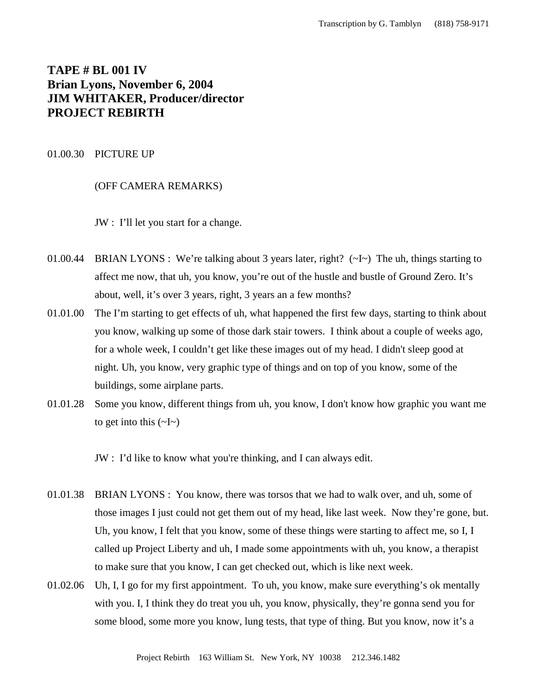# **TAPE # BL 001 IV Brian Lyons, November 6, 2004 JIM WHITAKER, Producer/director PROJECT REBIRTH**

#### 01.00.30 PICTURE UP

#### (OFF CAMERA REMARKS)

JW : I'll let you start for a change.

- 01.00.44 BRIAN LYONS : We're talking about 3 years later, right? (~I~) The uh, things starting to affect me now, that uh, you know, you're out of the hustle and bustle of Ground Zero. It's about, well, it's over 3 years, right, 3 years an a few months?
- 01.01.00 The I'm starting to get effects of uh, what happened the first few days, starting to think about you know, walking up some of those dark stair towers. I think about a couple of weeks ago, for a whole week, I couldn't get like these images out of my head. I didn't sleep good at night. Uh, you know, very graphic type of things and on top of you know, some of the buildings, some airplane parts.
- 01.01.28 Some you know, different things from uh, you know, I don't know how graphic you want me to get into this  $(\sim I \sim)$

JW : I'd like to know what you're thinking, and I can always edit.

- 01.01.38 BRIAN LYONS : You know, there was torsos that we had to walk over, and uh, some of those images I just could not get them out of my head, like last week. Now they're gone, but. Uh, you know, I felt that you know, some of these things were starting to affect me, so I, I called up Project Liberty and uh, I made some appointments with uh, you know, a therapist to make sure that you know, I can get checked out, which is like next week.
- 01.02.06 Uh, I, I go for my first appointment. To uh, you know, make sure everything's ok mentally with you. I, I think they do treat you uh, you know, physically, they're gonna send you for some blood, some more you know, lung tests, that type of thing. But you know, now it's a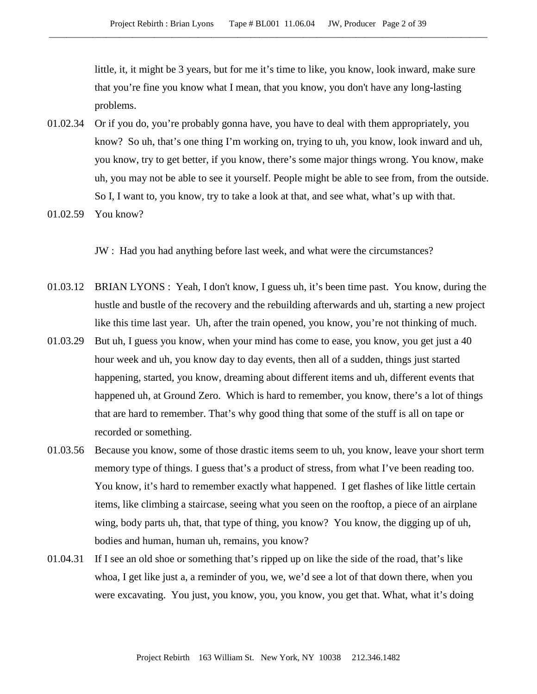little, it, it might be 3 years, but for me it's time to like, you know, look inward, make sure that you're fine you know what I mean, that you know, you don't have any long-lasting problems.

- 01.02.34 Or if you do, you're probably gonna have, you have to deal with them appropriately, you know? So uh, that's one thing I'm working on, trying to uh, you know, look inward and uh, you know, try to get better, if you know, there's some major things wrong. You know, make uh, you may not be able to see it yourself. People might be able to see from, from the outside. So I, I want to, you know, try to take a look at that, and see what, what's up with that.
- 01.02.59 You know?

JW : Had you had anything before last week, and what were the circumstances?

- 01.03.12 BRIAN LYONS : Yeah, I don't know, I guess uh, it's been time past. You know, during the hustle and bustle of the recovery and the rebuilding afterwards and uh, starting a new project like this time last year. Uh, after the train opened, you know, you're not thinking of much.
- 01.03.29 But uh, I guess you know, when your mind has come to ease, you know, you get just a 40 hour week and uh, you know day to day events, then all of a sudden, things just started happening, started, you know, dreaming about different items and uh, different events that happened uh, at Ground Zero. Which is hard to remember, you know, there's a lot of things that are hard to remember. That's why good thing that some of the stuff is all on tape or recorded or something.
- 01.03.56 Because you know, some of those drastic items seem to uh, you know, leave your short term memory type of things. I guess that's a product of stress, from what I've been reading too. You know, it's hard to remember exactly what happened. I get flashes of like little certain items, like climbing a staircase, seeing what you seen on the rooftop, a piece of an airplane wing, body parts uh, that, that type of thing, you know? You know, the digging up of uh, bodies and human, human uh, remains, you know?
- 01.04.31 If I see an old shoe or something that's ripped up on like the side of the road, that's like whoa, I get like just a, a reminder of you, we, we'd see a lot of that down there, when you were excavating. You just, you know, you, you know, you get that. What, what it's doing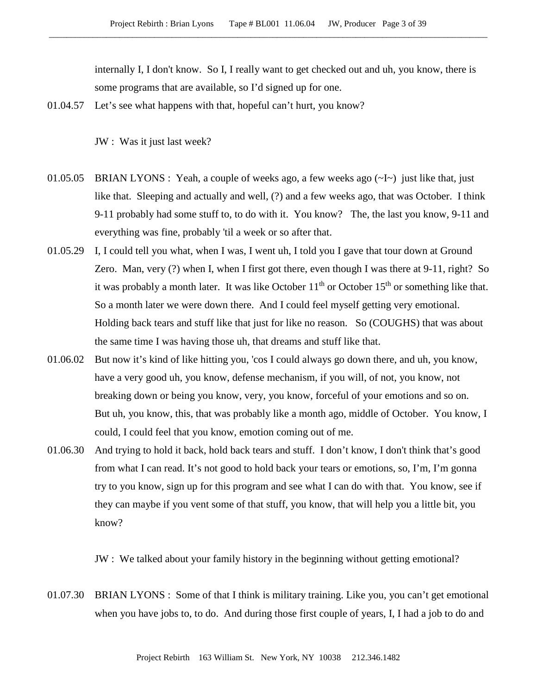internally I, I don't know. So I, I really want to get checked out and uh, you know, there is some programs that are available, so I'd signed up for one.

01.04.57 Let's see what happens with that, hopeful can't hurt, you know?

JW : Was it just last week?

- 01.05.05 BRIAN LYONS : Yeah, a couple of weeks ago, a few weeks ago  $(\sim I \sim)$  just like that, just like that. Sleeping and actually and well, (?) and a few weeks ago, that was October. I think 9-11 probably had some stuff to, to do with it. You know? The, the last you know, 9-11 and everything was fine, probably 'til a week or so after that.
- 01.05.29 I, I could tell you what, when I was, I went uh, I told you I gave that tour down at Ground Zero. Man, very (?) when I, when I first got there, even though I was there at 9-11, right? So it was probably a month later. It was like October  $11<sup>th</sup>$  or October  $15<sup>th</sup>$  or something like that. So a month later we were down there. And I could feel myself getting very emotional. Holding back tears and stuff like that just for like no reason. So (COUGHS) that was about the same time I was having those uh, that dreams and stuff like that.
- 01.06.02 But now it's kind of like hitting you, 'cos I could always go down there, and uh, you know, have a very good uh, you know, defense mechanism, if you will, of not, you know, not breaking down or being you know, very, you know, forceful of your emotions and so on. But uh, you know, this, that was probably like a month ago, middle of October. You know, I could, I could feel that you know, emotion coming out of me.
- 01.06.30 And trying to hold it back, hold back tears and stuff. I don't know, I don't think that's good from what I can read. It's not good to hold back your tears or emotions, so, I'm, I'm gonna try to you know, sign up for this program and see what I can do with that. You know, see if they can maybe if you vent some of that stuff, you know, that will help you a little bit, you know?

JW : We talked about your family history in the beginning without getting emotional?

01.07.30 BRIAN LYONS : Some of that I think is military training. Like you, you can't get emotional when you have jobs to, to do. And during those first couple of years, I, I had a job to do and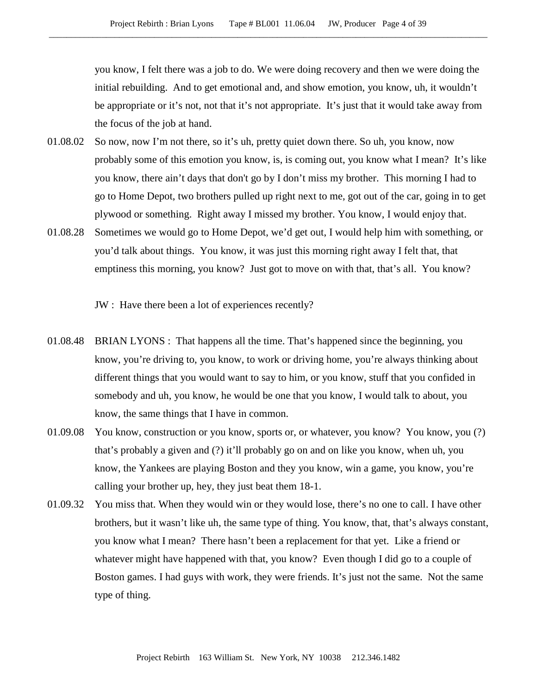you know, I felt there was a job to do. We were doing recovery and then we were doing the initial rebuilding. And to get emotional and, and show emotion, you know, uh, it wouldn't be appropriate or it's not, not that it's not appropriate. It's just that it would take away from the focus of the job at hand.

- 01.08.02 So now, now I'm not there, so it's uh, pretty quiet down there. So uh, you know, now probably some of this emotion you know, is, is coming out, you know what I mean? It's like you know, there ain't days that don't go by I don't miss my brother. This morning I had to go to Home Depot, two brothers pulled up right next to me, got out of the car, going in to get plywood or something. Right away I missed my brother. You know, I would enjoy that.
- 01.08.28 Sometimes we would go to Home Depot, we'd get out, I would help him with something, or you'd talk about things. You know, it was just this morning right away I felt that, that emptiness this morning, you know? Just got to move on with that, that's all. You know?

JW : Have there been a lot of experiences recently?

- 01.08.48 BRIAN LYONS : That happens all the time. That's happened since the beginning, you know, you're driving to, you know, to work or driving home, you're always thinking about different things that you would want to say to him, or you know, stuff that you confided in somebody and uh, you know, he would be one that you know, I would talk to about, you know, the same things that I have in common.
- 01.09.08 You know, construction or you know, sports or, or whatever, you know? You know, you (?) that's probably a given and (?) it'll probably go on and on like you know, when uh, you know, the Yankees are playing Boston and they you know, win a game, you know, you're calling your brother up, hey, they just beat them 18-1.
- 01.09.32 You miss that. When they would win or they would lose, there's no one to call. I have other brothers, but it wasn't like uh, the same type of thing. You know, that, that's always constant, you know what I mean? There hasn't been a replacement for that yet. Like a friend or whatever might have happened with that, you know? Even though I did go to a couple of Boston games. I had guys with work, they were friends. It's just not the same. Not the same type of thing.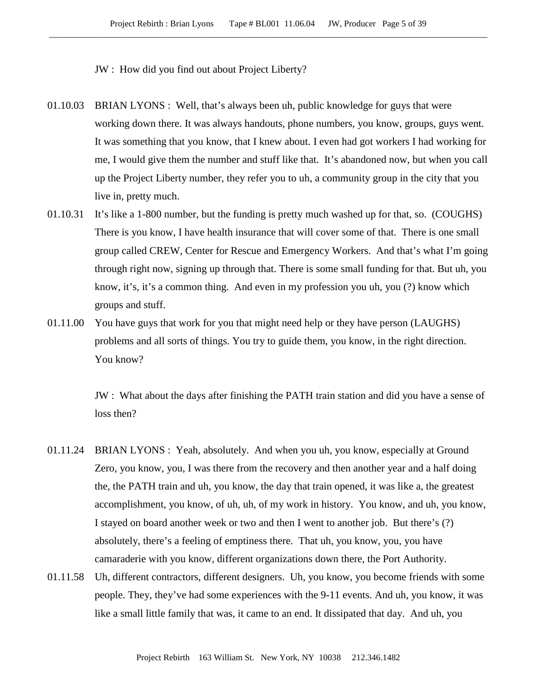JW : How did you find out about Project Liberty?

- 01.10.03 BRIAN LYONS : Well, that's always been uh, public knowledge for guys that were working down there. It was always handouts, phone numbers, you know, groups, guys went. It was something that you know, that I knew about. I even had got workers I had working for me, I would give them the number and stuff like that. It's abandoned now, but when you call up the Project Liberty number, they refer you to uh, a community group in the city that you live in, pretty much.
- 01.10.31 It's like a 1-800 number, but the funding is pretty much washed up for that, so. (COUGHS) There is you know, I have health insurance that will cover some of that. There is one small group called CREW, Center for Rescue and Emergency Workers. And that's what I'm going through right now, signing up through that. There is some small funding for that. But uh, you know, it's, it's a common thing. And even in my profession you uh, you (?) know which groups and stuff.
- 01.11.00 You have guys that work for you that might need help or they have person (LAUGHS) problems and all sorts of things. You try to guide them, you know, in the right direction. You know?

JW : What about the days after finishing the PATH train station and did you have a sense of loss then?

- 01.11.24 BRIAN LYONS : Yeah, absolutely. And when you uh, you know, especially at Ground Zero, you know, you, I was there from the recovery and then another year and a half doing the, the PATH train and uh, you know, the day that train opened, it was like a, the greatest accomplishment, you know, of uh, uh, of my work in history. You know, and uh, you know, I stayed on board another week or two and then I went to another job. But there's (?) absolutely, there's a feeling of emptiness there. That uh, you know, you, you have camaraderie with you know, different organizations down there, the Port Authority.
- 01.11.58 Uh, different contractors, different designers. Uh, you know, you become friends with some people. They, they've had some experiences with the 9-11 events. And uh, you know, it was like a small little family that was, it came to an end. It dissipated that day. And uh, you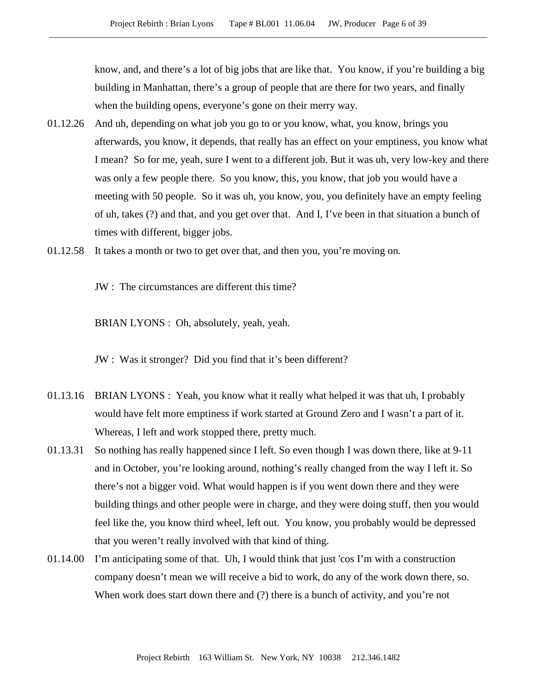know, and, and there's a lot of big jobs that are like that. You know, if you're building a big building in Manhattan, there's a group of people that are there for two years, and finally when the building opens, everyone's gone on their merry way.

- 01.12.26 And uh, depending on what job you go to or you know, what, you know, brings you afterwards, you know, it depends, that really has an effect on your emptiness, you know what I mean? So for me, yeah, sure I went to a different job. But it was uh, very low-key and there was only a few people there. So you know, this, you know, that job you would have a meeting with 50 people. So it was uh, you know, you, you definitely have an empty feeling of uh, takes (?) and that, and you get over that. And I, I've been in that situation a bunch of times with different, bigger jobs.
- 01.12.58 It takes a month or two to get over that, and then you, you're moving on.

JW : The circumstances are different this time?

BRIAN LYONS : Oh, absolutely, yeah, yeah.

JW : Was it stronger? Did you find that it's been different?

- 01.13.16 BRIAN LYONS : Yeah, you know what it really what helped it was that uh, I probably would have felt more emptiness if work started at Ground Zero and I wasn't a part of it. Whereas, I left and work stopped there, pretty much.
- 01.13.31 So nothing has really happened since I left. So even though I was down there, like at 9-11 and in October, you're looking around, nothing's really changed from the way I left it. So there's not a bigger void. What would happen is if you went down there and they were building things and other people were in charge, and they were doing stuff, then you would feel like the, you know third wheel, left out. You know, you probably would be depressed that you weren't really involved with that kind of thing.
- 01.14.00 I'm anticipating some of that. Uh, I would think that just 'cos I'm with a construction company doesn't mean we will receive a bid to work, do any of the work down there, so. When work does start down there and (?) there is a bunch of activity, and you're not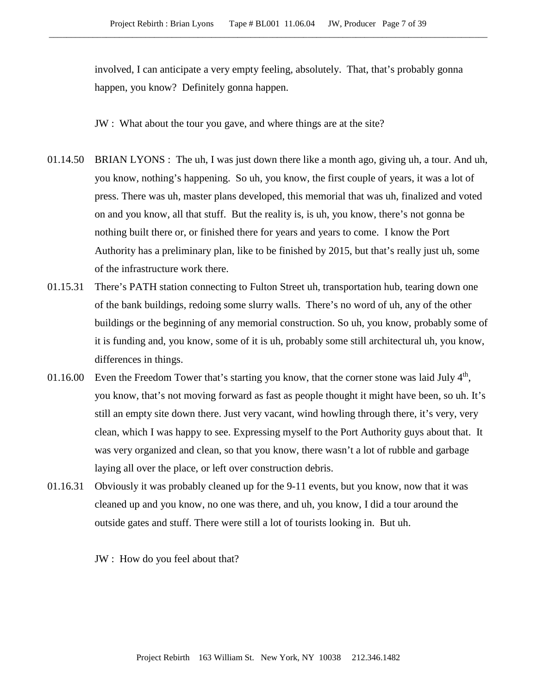involved, I can anticipate a very empty feeling, absolutely. That, that's probably gonna happen, you know? Definitely gonna happen.

JW : What about the tour you gave, and where things are at the site?

- 01.14.50 BRIAN LYONS : The uh, I was just down there like a month ago, giving uh, a tour. And uh, you know, nothing's happening. So uh, you know, the first couple of years, it was a lot of press. There was uh, master plans developed, this memorial that was uh, finalized and voted on and you know, all that stuff. But the reality is, is uh, you know, there's not gonna be nothing built there or, or finished there for years and years to come. I know the Port Authority has a preliminary plan, like to be finished by 2015, but that's really just uh, some of the infrastructure work there.
- 01.15.31 There's PATH station connecting to Fulton Street uh, transportation hub, tearing down one of the bank buildings, redoing some slurry walls. There's no word of uh, any of the other buildings or the beginning of any memorial construction. So uh, you know, probably some of it is funding and, you know, some of it is uh, probably some still architectural uh, you know, differences in things.
- 01.16.00 Even the Freedom Tower that's starting you know, that the corner stone was laid July  $4<sup>th</sup>$ , you know, that's not moving forward as fast as people thought it might have been, so uh. It's still an empty site down there. Just very vacant, wind howling through there, it's very, very clean, which I was happy to see. Expressing myself to the Port Authority guys about that. It was very organized and clean, so that you know, there wasn't a lot of rubble and garbage laying all over the place, or left over construction debris.
- 01.16.31 Obviously it was probably cleaned up for the 9-11 events, but you know, now that it was cleaned up and you know, no one was there, and uh, you know, I did a tour around the outside gates and stuff. There were still a lot of tourists looking in. But uh.

JW : How do you feel about that?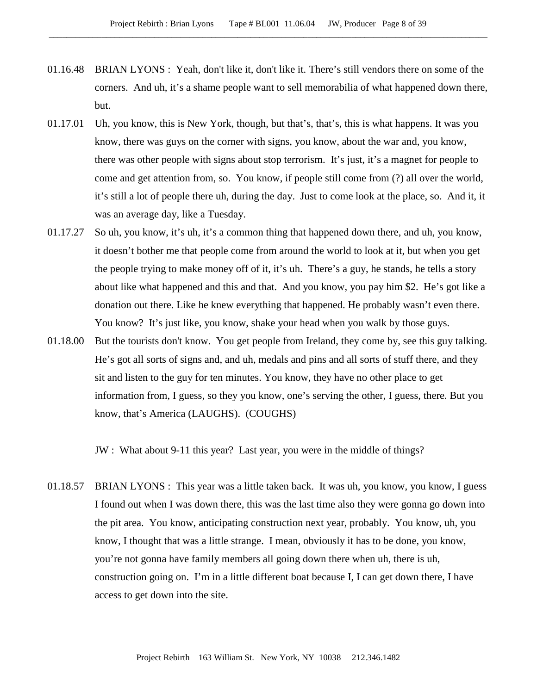- 01.16.48 BRIAN LYONS : Yeah, don't like it, don't like it. There's still vendors there on some of the corners. And uh, it's a shame people want to sell memorabilia of what happened down there, but.
- 01.17.01 Uh, you know, this is New York, though, but that's, that's, this is what happens. It was you know, there was guys on the corner with signs, you know, about the war and, you know, there was other people with signs about stop terrorism. It's just, it's a magnet for people to come and get attention from, so. You know, if people still come from (?) all over the world, it's still a lot of people there uh, during the day. Just to come look at the place, so. And it, it was an average day, like a Tuesday.
- 01.17.27 So uh, you know, it's uh, it's a common thing that happened down there, and uh, you know, it doesn't bother me that people come from around the world to look at it, but when you get the people trying to make money off of it, it's uh. There's a guy, he stands, he tells a story about like what happened and this and that. And you know, you pay him \$2. He's got like a donation out there. Like he knew everything that happened. He probably wasn't even there. You know? It's just like, you know, shake your head when you walk by those guys.
- 01.18.00 But the tourists don't know. You get people from Ireland, they come by, see this guy talking. He's got all sorts of signs and, and uh, medals and pins and all sorts of stuff there, and they sit and listen to the guy for ten minutes. You know, they have no other place to get information from, I guess, so they you know, one's serving the other, I guess, there. But you know, that's America (LAUGHS). (COUGHS)

JW : What about 9-11 this year? Last year, you were in the middle of things?

01.18.57 BRIAN LYONS : This year was a little taken back. It was uh, you know, you know, I guess I found out when I was down there, this was the last time also they were gonna go down into the pit area. You know, anticipating construction next year, probably. You know, uh, you know, I thought that was a little strange. I mean, obviously it has to be done, you know, you're not gonna have family members all going down there when uh, there is uh, construction going on. I'm in a little different boat because I, I can get down there, I have access to get down into the site.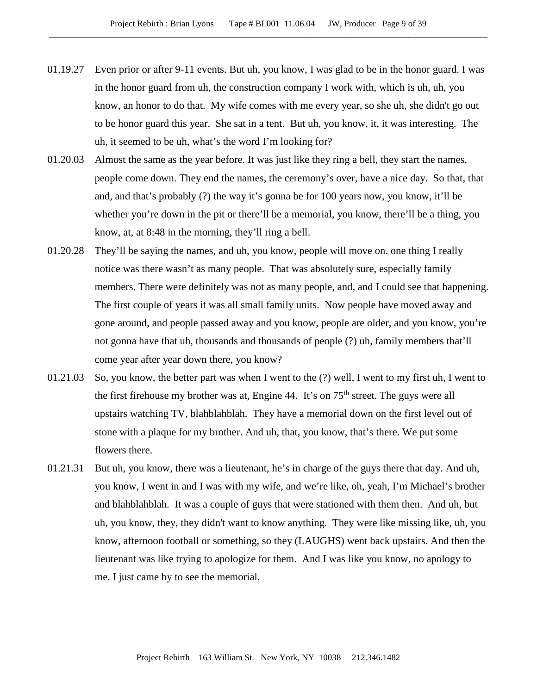- 01.19.27 Even prior or after 9-11 events. But uh, you know, I was glad to be in the honor guard. I was in the honor guard from uh, the construction company I work with, which is uh, uh, you know, an honor to do that. My wife comes with me every year, so she uh, she didn't go out to be honor guard this year. She sat in a tent. But uh, you know, it, it was interesting. The uh, it seemed to be uh, what's the word I'm looking for?
- 01.20.03 Almost the same as the year before. It was just like they ring a bell, they start the names, people come down. They end the names, the ceremony's over, have a nice day. So that, that and, and that's probably (?) the way it's gonna be for 100 years now, you know, it'll be whether you're down in the pit or there'll be a memorial, you know, there'll be a thing, you know, at, at 8:48 in the morning, they'll ring a bell.
- 01.20.28 They'll be saying the names, and uh, you know, people will move on. one thing I really notice was there wasn't as many people. That was absolutely sure, especially family members. There were definitely was not as many people, and, and I could see that happening. The first couple of years it was all small family units. Now people have moved away and gone around, and people passed away and you know, people are older, and you know, you're not gonna have that uh, thousands and thousands of people (?) uh, family members that'll come year after year down there, you know?
- 01.21.03 So, you know, the better part was when I went to the (?) well, I went to my first uh, I went to the first firehouse my brother was at, Engine 44. It's on 75<sup>th</sup> street. The guys were all upstairs watching TV, blahblahblah. They have a memorial down on the first level out of stone with a plaque for my brother. And uh, that, you know, that's there. We put some flowers there.
- 01.21.31 But uh, you know, there was a lieutenant, he's in charge of the guys there that day. And uh, you know, I went in and I was with my wife, and we're like, oh, yeah, I'm Michael's brother and blahblahblah. It was a couple of guys that were stationed with them then. And uh, but uh, you know, they, they didn't want to know anything. They were like missing like, uh, you know, afternoon football or something, so they (LAUGHS) went back upstairs. And then the lieutenant was like trying to apologize for them. And I was like you know, no apology to me. I just came by to see the memorial.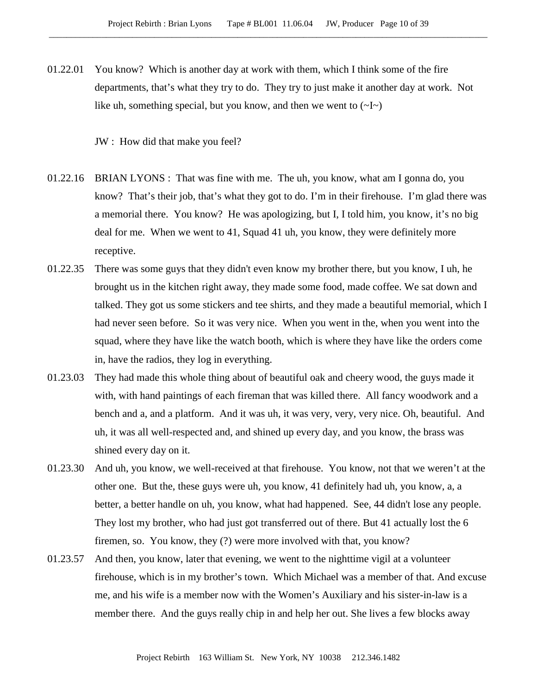01.22.01 You know? Which is another day at work with them, which I think some of the fire departments, that's what they try to do. They try to just make it another day at work. Not like uh, something special, but you know, and then we went to  $(-I)$ 

JW : How did that make you feel?

- 01.22.16 BRIAN LYONS : That was fine with me. The uh, you know, what am I gonna do, you know? That's their job, that's what they got to do. I'm in their firehouse. I'm glad there was a memorial there. You know? He was apologizing, but I, I told him, you know, it's no big deal for me. When we went to 41, Squad 41 uh, you know, they were definitely more receptive.
- 01.22.35 There was some guys that they didn't even know my brother there, but you know, I uh, he brought us in the kitchen right away, they made some food, made coffee. We sat down and talked. They got us some stickers and tee shirts, and they made a beautiful memorial, which I had never seen before. So it was very nice. When you went in the, when you went into the squad, where they have like the watch booth, which is where they have like the orders come in, have the radios, they log in everything.
- 01.23.03 They had made this whole thing about of beautiful oak and cheery wood, the guys made it with, with hand paintings of each fireman that was killed there. All fancy woodwork and a bench and a, and a platform. And it was uh, it was very, very, very nice. Oh, beautiful. And uh, it was all well-respected and, and shined up every day, and you know, the brass was shined every day on it.
- 01.23.30 And uh, you know, we well-received at that firehouse. You know, not that we weren't at the other one. But the, these guys were uh, you know, 41 definitely had uh, you know, a, a better, a better handle on uh, you know, what had happened. See, 44 didn't lose any people. They lost my brother, who had just got transferred out of there. But 41 actually lost the 6 firemen, so. You know, they (?) were more involved with that, you know?
- 01.23.57 And then, you know, later that evening, we went to the nighttime vigil at a volunteer firehouse, which is in my brother's town. Which Michael was a member of that. And excuse me, and his wife is a member now with the Women's Auxiliary and his sister-in-law is a member there. And the guys really chip in and help her out. She lives a few blocks away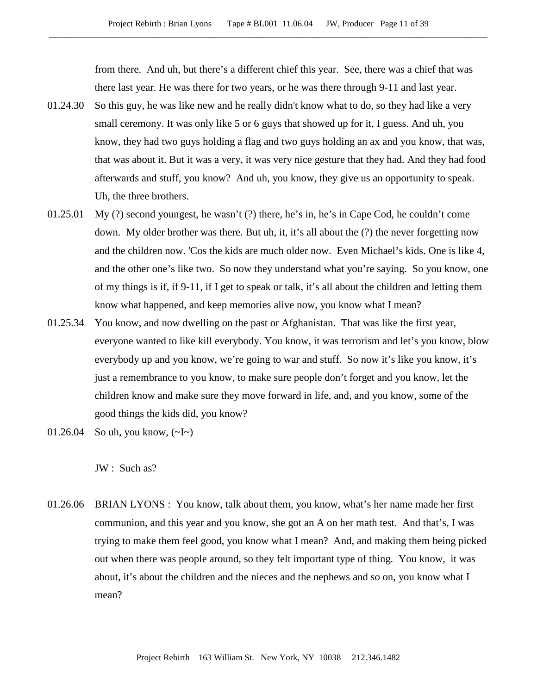from there. And uh, but there's a different chief this year. See, there was a chief that was there last year. He was there for two years, or he was there through 9-11 and last year.

- 01.24.30 So this guy, he was like new and he really didn't know what to do, so they had like a very small ceremony. It was only like 5 or 6 guys that showed up for it, I guess. And uh, you know, they had two guys holding a flag and two guys holding an ax and you know, that was, that was about it. But it was a very, it was very nice gesture that they had. And they had food afterwards and stuff, you know? And uh, you know, they give us an opportunity to speak. Uh, the three brothers.
- 01.25.01 My (?) second youngest, he wasn't (?) there, he's in, he's in Cape Cod, he couldn't come down. My older brother was there. But uh, it, it's all about the (?) the never forgetting now and the children now. 'Cos the kids are much older now. Even Michael's kids. One is like 4, and the other one's like two. So now they understand what you're saying. So you know, one of my things is if, if 9-11, if I get to speak or talk, it's all about the children and letting them know what happened, and keep memories alive now, you know what I mean?
- 01.25.34 You know, and now dwelling on the past or Afghanistan. That was like the first year, everyone wanted to like kill everybody. You know, it was terrorism and let's you know, blow everybody up and you know, we're going to war and stuff. So now it's like you know, it's just a remembrance to you know, to make sure people don't forget and you know, let the children know and make sure they move forward in life, and, and you know, some of the good things the kids did, you know?
- 01.26.04 So uh, you know, (~I~)

JW : Such as?

01.26.06 BRIAN LYONS : You know, talk about them, you know, what's her name made her first communion, and this year and you know, she got an A on her math test. And that's, I was trying to make them feel good, you know what I mean? And, and making them being picked out when there was people around, so they felt important type of thing. You know, it was about, it's about the children and the nieces and the nephews and so on, you know what I mean?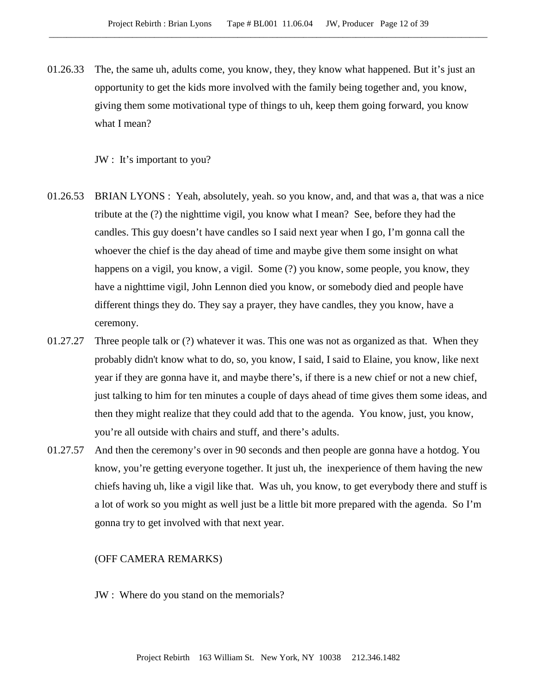01.26.33 The, the same uh, adults come, you know, they, they know what happened. But it's just an opportunity to get the kids more involved with the family being together and, you know, giving them some motivational type of things to uh, keep them going forward, you know what I mean?

JW : It's important to you?

- 01.26.53 BRIAN LYONS : Yeah, absolutely, yeah. so you know, and, and that was a, that was a nice tribute at the (?) the nighttime vigil, you know what I mean? See, before they had the candles. This guy doesn't have candles so I said next year when I go, I'm gonna call the whoever the chief is the day ahead of time and maybe give them some insight on what happens on a vigil, you know, a vigil. Some (?) you know, some people, you know, they have a nighttime vigil, John Lennon died you know, or somebody died and people have different things they do. They say a prayer, they have candles, they you know, have a ceremony.
- 01.27.27 Three people talk or (?) whatever it was. This one was not as organized as that. When they probably didn't know what to do, so, you know, I said, I said to Elaine, you know, like next year if they are gonna have it, and maybe there's, if there is a new chief or not a new chief, just talking to him for ten minutes a couple of days ahead of time gives them some ideas, and then they might realize that they could add that to the agenda. You know, just, you know, you're all outside with chairs and stuff, and there's adults.
- 01.27.57 And then the ceremony's over in 90 seconds and then people are gonna have a hotdog. You know, you're getting everyone together. It just uh, the inexperience of them having the new chiefs having uh, like a vigil like that. Was uh, you know, to get everybody there and stuff is a lot of work so you might as well just be a little bit more prepared with the agenda. So I'm gonna try to get involved with that next year.

### (OFF CAMERA REMARKS)

JW : Where do you stand on the memorials?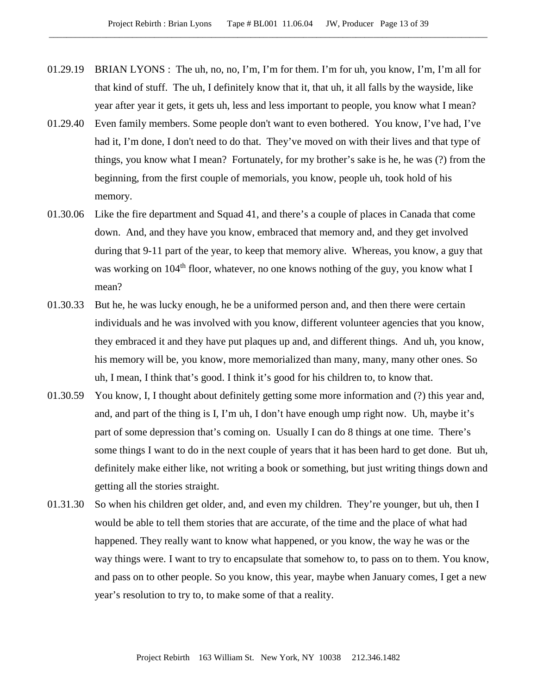- 01.29.19 BRIAN LYONS : The uh, no, no, I'm, I'm for them. I'm for uh, you know, I'm, I'm all for that kind of stuff. The uh, I definitely know that it, that uh, it all falls by the wayside, like year after year it gets, it gets uh, less and less important to people, you know what I mean?
- 01.29.40 Even family members. Some people don't want to even bothered. You know, I've had, I've had it, I'm done, I don't need to do that. They've moved on with their lives and that type of things, you know what I mean? Fortunately, for my brother's sake is he, he was (?) from the beginning, from the first couple of memorials, you know, people uh, took hold of his memory.
- 01.30.06 Like the fire department and Squad 41, and there's a couple of places in Canada that come down. And, and they have you know, embraced that memory and, and they get involved during that 9-11 part of the year, to keep that memory alive. Whereas, you know, a guy that was working on 104<sup>th</sup> floor, whatever, no one knows nothing of the guy, you know what I mean?
- 01.30.33 But he, he was lucky enough, he be a uniformed person and, and then there were certain individuals and he was involved with you know, different volunteer agencies that you know, they embraced it and they have put plaques up and, and different things. And uh, you know, his memory will be, you know, more memorialized than many, many, many other ones. So uh, I mean, I think that's good. I think it's good for his children to, to know that.
- 01.30.59 You know, I, I thought about definitely getting some more information and (?) this year and, and, and part of the thing is I, I'm uh, I don't have enough ump right now. Uh, maybe it's part of some depression that's coming on. Usually I can do 8 things at one time. There's some things I want to do in the next couple of years that it has been hard to get done. But uh, definitely make either like, not writing a book or something, but just writing things down and getting all the stories straight.
- 01.31.30 So when his children get older, and, and even my children. They're younger, but uh, then I would be able to tell them stories that are accurate, of the time and the place of what had happened. They really want to know what happened, or you know, the way he was or the way things were. I want to try to encapsulate that somehow to, to pass on to them. You know, and pass on to other people. So you know, this year, maybe when January comes, I get a new year's resolution to try to, to make some of that a reality.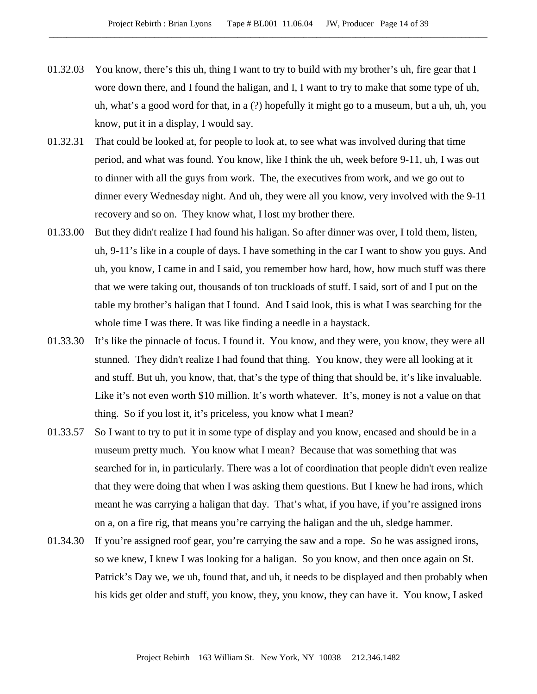- 01.32.03 You know, there's this uh, thing I want to try to build with my brother's uh, fire gear that I wore down there, and I found the haligan, and I, I want to try to make that some type of uh, uh, what's a good word for that, in a (?) hopefully it might go to a museum, but a uh, uh, you know, put it in a display, I would say.
- 01.32.31 That could be looked at, for people to look at, to see what was involved during that time period, and what was found. You know, like I think the uh, week before 9-11, uh, I was out to dinner with all the guys from work. The, the executives from work, and we go out to dinner every Wednesday night. And uh, they were all you know, very involved with the 9-11 recovery and so on. They know what, I lost my brother there.
- 01.33.00 But they didn't realize I had found his haligan. So after dinner was over, I told them, listen, uh, 9-11's like in a couple of days. I have something in the car I want to show you guys. And uh, you know, I came in and I said, you remember how hard, how, how much stuff was there that we were taking out, thousands of ton truckloads of stuff. I said, sort of and I put on the table my brother's haligan that I found. And I said look, this is what I was searching for the whole time I was there. It was like finding a needle in a haystack.
- 01.33.30 It's like the pinnacle of focus. I found it. You know, and they were, you know, they were all stunned. They didn't realize I had found that thing. You know, they were all looking at it and stuff. But uh, you know, that, that's the type of thing that should be, it's like invaluable. Like it's not even worth \$10 million. It's worth whatever. It's, money is not a value on that thing. So if you lost it, it's priceless, you know what I mean?
- 01.33.57 So I want to try to put it in some type of display and you know, encased and should be in a museum pretty much. You know what I mean? Because that was something that was searched for in, in particularly. There was a lot of coordination that people didn't even realize that they were doing that when I was asking them questions. But I knew he had irons, which meant he was carrying a haligan that day. That's what, if you have, if you're assigned irons on a, on a fire rig, that means you're carrying the haligan and the uh, sledge hammer.
- 01.34.30 If you're assigned roof gear, you're carrying the saw and a rope. So he was assigned irons, so we knew, I knew I was looking for a haligan. So you know, and then once again on St. Patrick's Day we, we uh, found that, and uh, it needs to be displayed and then probably when his kids get older and stuff, you know, they, you know, they can have it. You know, I asked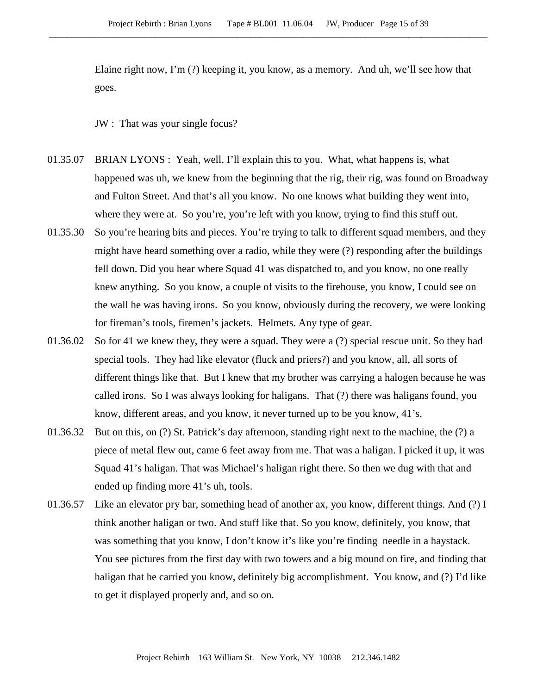Elaine right now, I'm (?) keeping it, you know, as a memory. And uh, we'll see how that goes.

JW : That was your single focus?

- 01.35.07 BRIAN LYONS : Yeah, well, I'll explain this to you. What, what happens is, what happened was uh, we knew from the beginning that the rig, their rig, was found on Broadway and Fulton Street. And that's all you know. No one knows what building they went into, where they were at. So you're, you're left with you know, trying to find this stuff out.
- 01.35.30 So you're hearing bits and pieces. You're trying to talk to different squad members, and they might have heard something over a radio, while they were (?) responding after the buildings fell down. Did you hear where Squad 41 was dispatched to, and you know, no one really knew anything. So you know, a couple of visits to the firehouse, you know, I could see on the wall he was having irons. So you know, obviously during the recovery, we were looking for fireman's tools, firemen's jackets. Helmets. Any type of gear.
- 01.36.02 So for 41 we knew they, they were a squad. They were a (?) special rescue unit. So they had special tools. They had like elevator (fluck and priers?) and you know, all, all sorts of different things like that. But I knew that my brother was carrying a halogen because he was called irons. So I was always looking for haligans. That (?) there was haligans found, you know, different areas, and you know, it never turned up to be you know, 41's.
- 01.36.32 But on this, on (?) St. Patrick's day afternoon, standing right next to the machine, the (?) a piece of metal flew out, came 6 feet away from me. That was a haligan. I picked it up, it was Squad 41's haligan. That was Michael's haligan right there. So then we dug with that and ended up finding more 41's uh, tools.
- 01.36.57 Like an elevator pry bar, something head of another ax, you know, different things. And (?) I think another haligan or two. And stuff like that. So you know, definitely, you know, that was something that you know, I don't know it's like you're finding needle in a haystack. You see pictures from the first day with two towers and a big mound on fire, and finding that haligan that he carried you know, definitely big accomplishment. You know, and (?) I'd like to get it displayed properly and, and so on.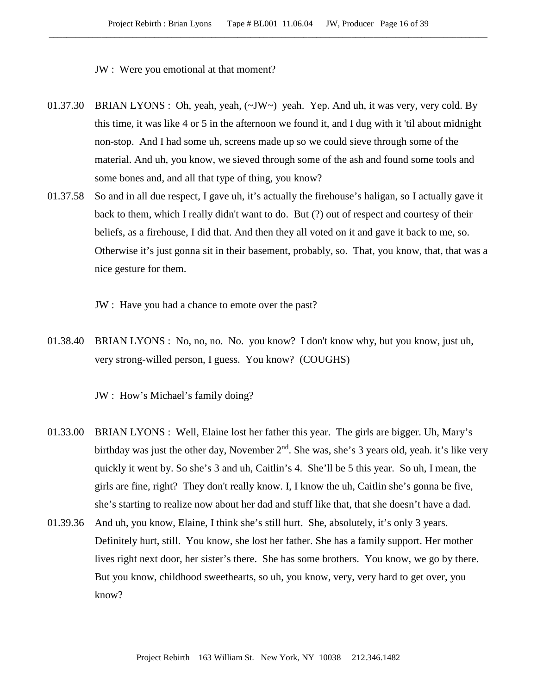JW : Were you emotional at that moment?

- 01.37.30 BRIAN LYONS : Oh, yeah, yeah, (~JW~) yeah. Yep. And uh, it was very, very cold. By this time, it was like 4 or 5 in the afternoon we found it, and I dug with it 'til about midnight non-stop. And I had some uh, screens made up so we could sieve through some of the material. And uh, you know, we sieved through some of the ash and found some tools and some bones and, and all that type of thing, you know?
- 01.37.58 So and in all due respect, I gave uh, it's actually the firehouse's haligan, so I actually gave it back to them, which I really didn't want to do. But (?) out of respect and courtesy of their beliefs, as a firehouse, I did that. And then they all voted on it and gave it back to me, so. Otherwise it's just gonna sit in their basement, probably, so. That, you know, that, that was a nice gesture for them.
	- JW : Have you had a chance to emote over the past?
- 01.38.40 BRIAN LYONS : No, no, no. No. you know? I don't know why, but you know, just uh, very strong-willed person, I guess. You know? (COUGHS)

JW : How's Michael's family doing?

- 01.33.00 BRIAN LYONS : Well, Elaine lost her father this year. The girls are bigger. Uh, Mary's birthday was just the other day, November 2<sup>nd</sup>. She was, she's 3 years old, yeah. it's like very quickly it went by. So she's 3 and uh, Caitlin's 4. She'll be 5 this year. So uh, I mean, the girls are fine, right? They don't really know. I, I know the uh, Caitlin she's gonna be five, she's starting to realize now about her dad and stuff like that, that she doesn't have a dad.
- 01.39.36 And uh, you know, Elaine, I think she's still hurt. She, absolutely, it's only 3 years. Definitely hurt, still. You know, she lost her father. She has a family support. Her mother lives right next door, her sister's there. She has some brothers. You know, we go by there. But you know, childhood sweethearts, so uh, you know, very, very hard to get over, you know?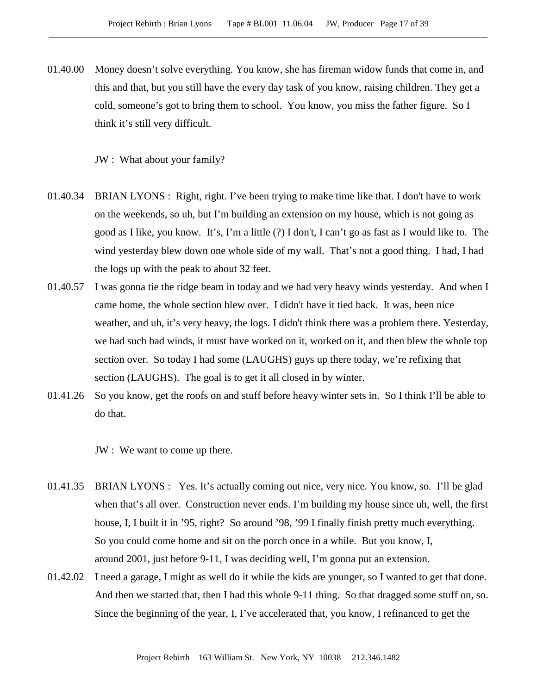01.40.00 Money doesn't solve everything. You know, she has fireman widow funds that come in, and this and that, but you still have the every day task of you know, raising children. They get a cold, someone's got to bring them to school. You know, you miss the father figure. So I think it's still very difficult.

JW : What about your family?

- 01.40.34 BRIAN LYONS : Right, right. I've been trying to make time like that. I don't have to work on the weekends, so uh, but I'm building an extension on my house, which is not going as good as I like, you know. It's, I'm a little (?) I don't, I can't go as fast as I would like to. The wind yesterday blew down one whole side of my wall. That's not a good thing. I had, I had the logs up with the peak to about 32 feet.
- 01.40.57 I was gonna tie the ridge beam in today and we had very heavy winds yesterday. And when I came home, the whole section blew over. I didn't have it tied back. It was, been nice weather, and uh, it's very heavy, the logs. I didn't think there was a problem there. Yesterday, we had such bad winds, it must have worked on it, worked on it, and then blew the whole top section over. So today I had some (LAUGHS) guys up there today, we're refixing that section (LAUGHS). The goal is to get it all closed in by winter.
- 01.41.26 So you know, get the roofs on and stuff before heavy winter sets in. So I think I'll be able to do that.

JW : We want to come up there.

- 01.41.35 BRIAN LYONS : Yes. It's actually coming out nice, very nice. You know, so. I'll be glad when that's all over. Construction never ends. I'm building my house since uh, well, the first house, I, I built it in '95, right? So around '98, '99 I finally finish pretty much everything. So you could come home and sit on the porch once in a while. But you know, I, around 2001, just before 9-11, I was deciding well, I'm gonna put an extension.
- 01.42.02 I need a garage, I might as well do it while the kids are younger, so I wanted to get that done. And then we started that, then I had this whole 9-11 thing. So that dragged some stuff on, so. Since the beginning of the year, I, I've accelerated that, you know, I refinanced to get the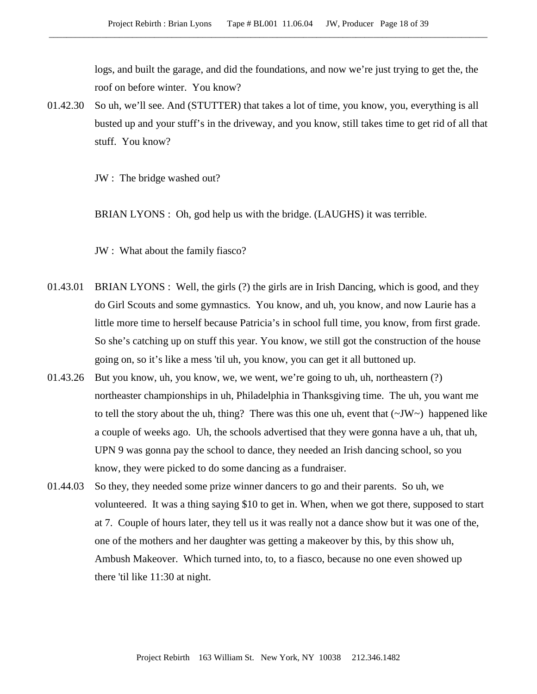logs, and built the garage, and did the foundations, and now we're just trying to get the, the roof on before winter. You know?

01.42.30 So uh, we'll see. And (STUTTER) that takes a lot of time, you know, you, everything is all busted up and your stuff's in the driveway, and you know, still takes time to get rid of all that stuff. You know?

JW : The bridge washed out?

BRIAN LYONS : Oh, god help us with the bridge. (LAUGHS) it was terrible.

JW : What about the family fiasco?

- 01.43.01 BRIAN LYONS : Well, the girls (?) the girls are in Irish Dancing, which is good, and they do Girl Scouts and some gymnastics. You know, and uh, you know, and now Laurie has a little more time to herself because Patricia's in school full time, you know, from first grade. So she's catching up on stuff this year. You know, we still got the construction of the house going on, so it's like a mess 'til uh, you know, you can get it all buttoned up.
- 01.43.26 But you know, uh, you know, we, we went, we're going to uh, uh, northeastern (?) northeaster championships in uh, Philadelphia in Thanksgiving time. The uh, you want me to tell the story about the uh, thing? There was this one uh, event that  $(\sim JW)$  happened like a couple of weeks ago. Uh, the schools advertised that they were gonna have a uh, that uh, UPN 9 was gonna pay the school to dance, they needed an Irish dancing school, so you know, they were picked to do some dancing as a fundraiser.
- 01.44.03 So they, they needed some prize winner dancers to go and their parents. So uh, we volunteered. It was a thing saying \$10 to get in. When, when we got there, supposed to start at 7. Couple of hours later, they tell us it was really not a dance show but it was one of the, one of the mothers and her daughter was getting a makeover by this, by this show uh, Ambush Makeover. Which turned into, to, to a fiasco, because no one even showed up there 'til like 11:30 at night.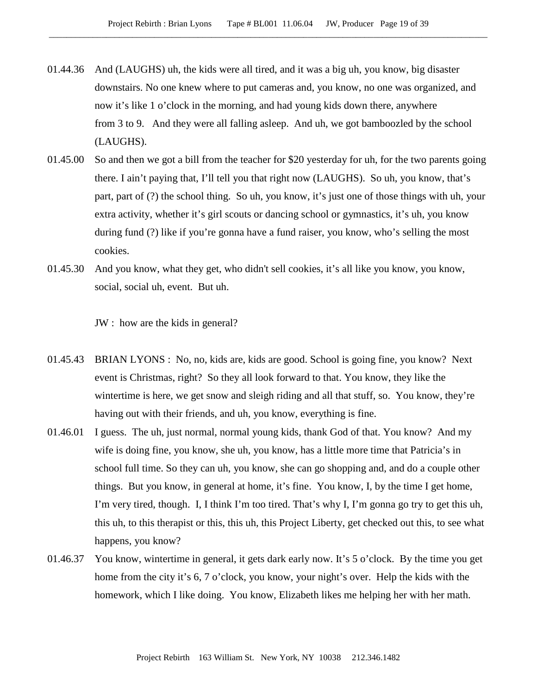- 01.44.36 And (LAUGHS) uh, the kids were all tired, and it was a big uh, you know, big disaster downstairs. No one knew where to put cameras and, you know, no one was organized, and now it's like 1 o'clock in the morning, and had young kids down there, anywhere from 3 to 9. And they were all falling asleep. And uh, we got bamboozled by the school (LAUGHS).
- 01.45.00 So and then we got a bill from the teacher for \$20 yesterday for uh, for the two parents going there. I ain't paying that, I'll tell you that right now (LAUGHS). So uh, you know, that's part, part of (?) the school thing. So uh, you know, it's just one of those things with uh, your extra activity, whether it's girl scouts or dancing school or gymnastics, it's uh, you know during fund (?) like if you're gonna have a fund raiser, you know, who's selling the most cookies.
- 01.45.30 And you know, what they get, who didn't sell cookies, it's all like you know, you know, social, social uh, event. But uh.

JW : how are the kids in general?

- 01.45.43 BRIAN LYONS : No, no, kids are, kids are good. School is going fine, you know? Next event is Christmas, right? So they all look forward to that. You know, they like the wintertime is here, we get snow and sleigh riding and all that stuff, so. You know, they're having out with their friends, and uh, you know, everything is fine.
- 01.46.01 I guess. The uh, just normal, normal young kids, thank God of that. You know? And my wife is doing fine, you know, she uh, you know, has a little more time that Patricia's in school full time. So they can uh, you know, she can go shopping and, and do a couple other things. But you know, in general at home, it's fine. You know, I, by the time I get home, I'm very tired, though. I, I think I'm too tired. That's why I, I'm gonna go try to get this uh, this uh, to this therapist or this, this uh, this Project Liberty, get checked out this, to see what happens, you know?
- 01.46.37 You know, wintertime in general, it gets dark early now. It's 5 o'clock. By the time you get home from the city it's 6, 7 o'clock, you know, your night's over. Help the kids with the homework, which I like doing. You know, Elizabeth likes me helping her with her math.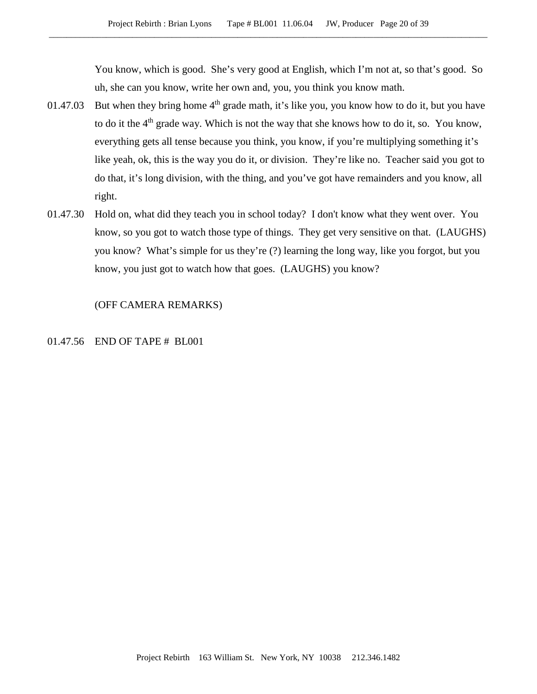You know, which is good. She's very good at English, which I'm not at, so that's good. So uh, she can you know, write her own and, you, you think you know math.

- 01.47.03 But when they bring home  $4<sup>th</sup>$  grade math, it's like you, you know how to do it, but you have to do it the  $4<sup>th</sup>$  grade way. Which is not the way that she knows how to do it, so. You know, everything gets all tense because you think, you know, if you're multiplying something it's like yeah, ok, this is the way you do it, or division. They're like no. Teacher said you got to do that, it's long division, with the thing, and you've got have remainders and you know, all right.
- 01.47.30 Hold on, what did they teach you in school today? I don't know what they went over. You know, so you got to watch those type of things. They get very sensitive on that. (LAUGHS) you know? What's simple for us they're (?) learning the long way, like you forgot, but you know, you just got to watch how that goes. (LAUGHS) you know?

(OFF CAMERA REMARKS)

### 01.47.56 END OF TAPE # BL001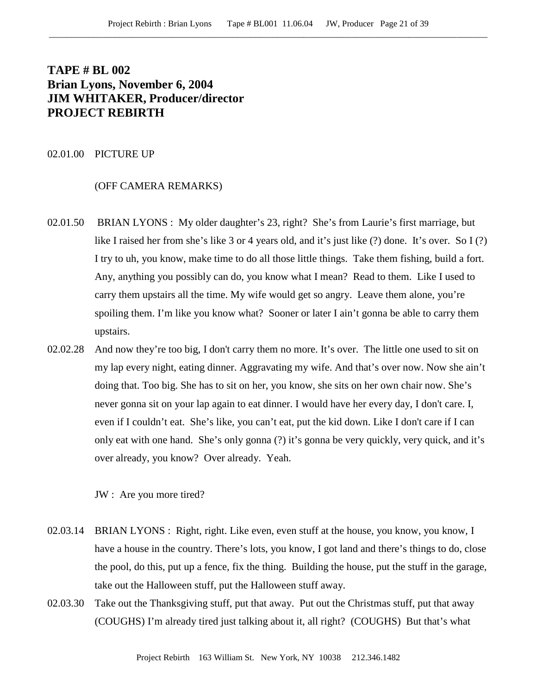# **TAPE # BL 002 Brian Lyons, November 6, 2004 JIM WHITAKER, Producer/director PROJECT REBIRTH**

### 02.01.00 PICTURE UP

#### (OFF CAMERA REMARKS)

- 02.01.50 BRIAN LYONS : My older daughter's 23, right? She's from Laurie's first marriage, but like I raised her from she's like 3 or 4 years old, and it's just like (?) done. It's over. So I (?) I try to uh, you know, make time to do all those little things. Take them fishing, build a fort. Any, anything you possibly can do, you know what I mean? Read to them. Like I used to carry them upstairs all the time. My wife would get so angry. Leave them alone, you're spoiling them. I'm like you know what? Sooner or later I ain't gonna be able to carry them upstairs.
- 02.02.28 And now they're too big, I don't carry them no more. It's over. The little one used to sit on my lap every night, eating dinner. Aggravating my wife. And that's over now. Now she ain't doing that. Too big. She has to sit on her, you know, she sits on her own chair now. She's never gonna sit on your lap again to eat dinner. I would have her every day, I don't care. I, even if I couldn't eat. She's like, you can't eat, put the kid down. Like I don't care if I can only eat with one hand. She's only gonna (?) it's gonna be very quickly, very quick, and it's over already, you know? Over already. Yeah.

JW : Are you more tired?

- 02.03.14 BRIAN LYONS : Right, right. Like even, even stuff at the house, you know, you know, I have a house in the country. There's lots, you know, I got land and there's things to do, close the pool, do this, put up a fence, fix the thing. Building the house, put the stuff in the garage, take out the Halloween stuff, put the Halloween stuff away.
- 02.03.30 Take out the Thanksgiving stuff, put that away. Put out the Christmas stuff, put that away (COUGHS) I'm already tired just talking about it, all right? (COUGHS) But that's what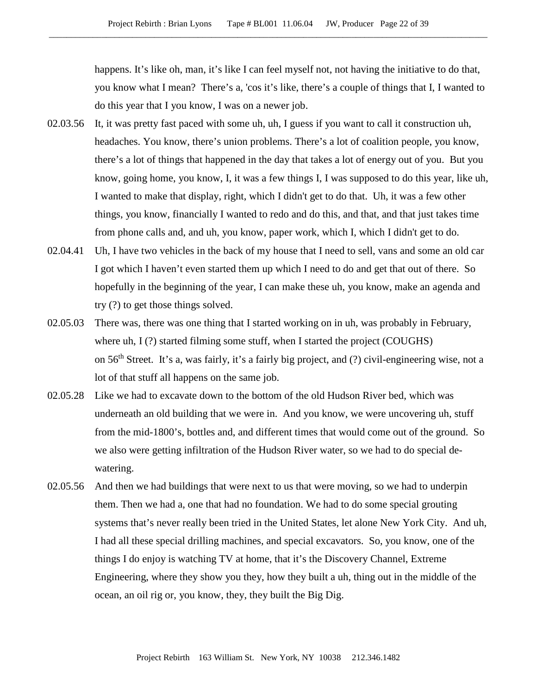happens. It's like oh, man, it's like I can feel myself not, not having the initiative to do that, you know what I mean? There's a, 'cos it's like, there's a couple of things that I, I wanted to do this year that I you know, I was on a newer job.

- 02.03.56 It, it was pretty fast paced with some uh, uh, I guess if you want to call it construction uh, headaches. You know, there's union problems. There's a lot of coalition people, you know, there's a lot of things that happened in the day that takes a lot of energy out of you. But you know, going home, you know, I, it was a few things I, I was supposed to do this year, like uh, I wanted to make that display, right, which I didn't get to do that. Uh, it was a few other things, you know, financially I wanted to redo and do this, and that, and that just takes time from phone calls and, and uh, you know, paper work, which I, which I didn't get to do.
- 02.04.41 Uh, I have two vehicles in the back of my house that I need to sell, vans and some an old car I got which I haven't even started them up which I need to do and get that out of there. So hopefully in the beginning of the year, I can make these uh, you know, make an agenda and try (?) to get those things solved.
- 02.05.03 There was, there was one thing that I started working on in uh, was probably in February, where uh,  $I(?)$  started filming some stuff, when I started the project (COUGHS) on 56th Street. It's a, was fairly, it's a fairly big project, and (?) civil-engineering wise, not a lot of that stuff all happens on the same job.
- 02.05.28 Like we had to excavate down to the bottom of the old Hudson River bed, which was underneath an old building that we were in. And you know, we were uncovering uh, stuff from the mid-1800's, bottles and, and different times that would come out of the ground. So we also were getting infiltration of the Hudson River water, so we had to do special dewatering.
- 02.05.56 And then we had buildings that were next to us that were moving, so we had to underpin them. Then we had a, one that had no foundation. We had to do some special grouting systems that's never really been tried in the United States, let alone New York City. And uh, I had all these special drilling machines, and special excavators. So, you know, one of the things I do enjoy is watching TV at home, that it's the Discovery Channel, Extreme Engineering, where they show you they, how they built a uh, thing out in the middle of the ocean, an oil rig or, you know, they, they built the Big Dig.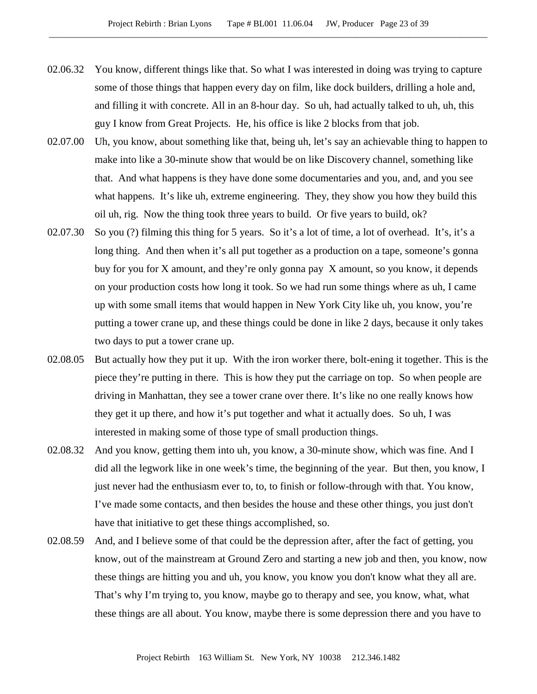- 02.06.32 You know, different things like that. So what I was interested in doing was trying to capture some of those things that happen every day on film, like dock builders, drilling a hole and, and filling it with concrete. All in an 8-hour day. So uh, had actually talked to uh, uh, this guy I know from Great Projects. He, his office is like 2 blocks from that job.
- 02.07.00 Uh, you know, about something like that, being uh, let's say an achievable thing to happen to make into like a 30-minute show that would be on like Discovery channel, something like that. And what happens is they have done some documentaries and you, and, and you see what happens. It's like uh, extreme engineering. They, they show you how they build this oil uh, rig. Now the thing took three years to build. Or five years to build, ok?
- 02.07.30 So you (?) filming this thing for 5 years. So it's a lot of time, a lot of overhead. It's, it's a long thing. And then when it's all put together as a production on a tape, someone's gonna buy for you for X amount, and they're only gonna pay X amount, so you know, it depends on your production costs how long it took. So we had run some things where as uh, I came up with some small items that would happen in New York City like uh, you know, you're putting a tower crane up, and these things could be done in like 2 days, because it only takes two days to put a tower crane up.
- 02.08.05 But actually how they put it up. With the iron worker there, bolt-ening it together. This is the piece they're putting in there. This is how they put the carriage on top. So when people are driving in Manhattan, they see a tower crane over there. It's like no one really knows how they get it up there, and how it's put together and what it actually does. So uh, I was interested in making some of those type of small production things.
- 02.08.32 And you know, getting them into uh, you know, a 30-minute show, which was fine. And I did all the legwork like in one week's time, the beginning of the year. But then, you know, I just never had the enthusiasm ever to, to, to finish or follow-through with that. You know, I've made some contacts, and then besides the house and these other things, you just don't have that initiative to get these things accomplished, so.
- 02.08.59 And, and I believe some of that could be the depression after, after the fact of getting, you know, out of the mainstream at Ground Zero and starting a new job and then, you know, now these things are hitting you and uh, you know, you know you don't know what they all are. That's why I'm trying to, you know, maybe go to therapy and see, you know, what, what these things are all about. You know, maybe there is some depression there and you have to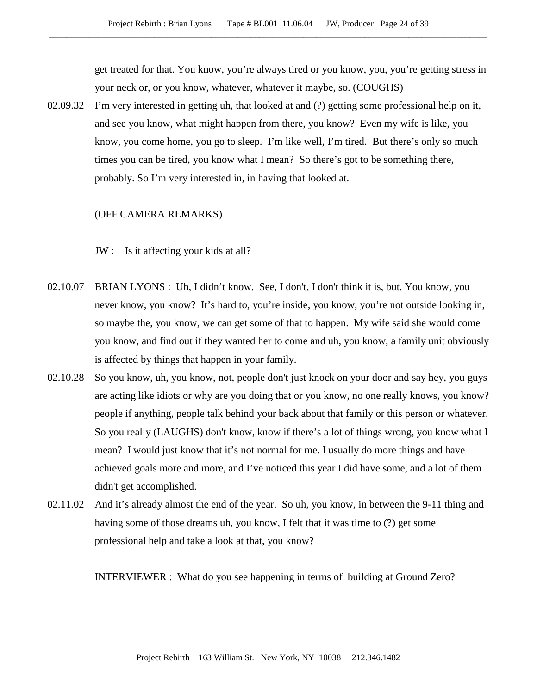get treated for that. You know, you're always tired or you know, you, you're getting stress in your neck or, or you know, whatever, whatever it maybe, so. (COUGHS)

02.09.32 I'm very interested in getting uh, that looked at and (?) getting some professional help on it, and see you know, what might happen from there, you know? Even my wife is like, you know, you come home, you go to sleep. I'm like well, I'm tired. But there's only so much times you can be tired, you know what I mean? So there's got to be something there, probably. So I'm very interested in, in having that looked at.

#### (OFF CAMERA REMARKS)

JW : Is it affecting your kids at all?

- 02.10.07 BRIAN LYONS : Uh, I didn't know. See, I don't, I don't think it is, but. You know, you never know, you know? It's hard to, you're inside, you know, you're not outside looking in, so maybe the, you know, we can get some of that to happen. My wife said she would come you know, and find out if they wanted her to come and uh, you know, a family unit obviously is affected by things that happen in your family.
- 02.10.28 So you know, uh, you know, not, people don't just knock on your door and say hey, you guys are acting like idiots or why are you doing that or you know, no one really knows, you know? people if anything, people talk behind your back about that family or this person or whatever. So you really (LAUGHS) don't know, know if there's a lot of things wrong, you know what I mean? I would just know that it's not normal for me. I usually do more things and have achieved goals more and more, and I've noticed this year I did have some, and a lot of them didn't get accomplished.
- 02.11.02 And it's already almost the end of the year. So uh, you know, in between the 9-11 thing and having some of those dreams uh, you know, I felt that it was time to (?) get some professional help and take a look at that, you know?

INTERVIEWER : What do you see happening in terms of building at Ground Zero?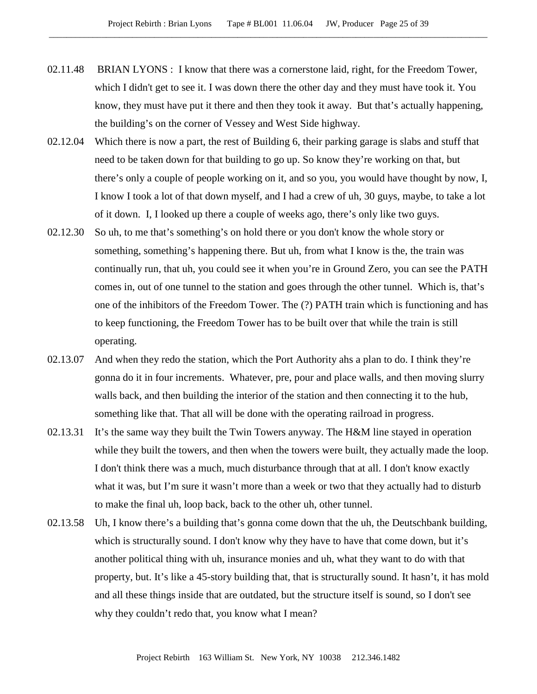- 02.11.48 BRIAN LYONS : I know that there was a cornerstone laid, right, for the Freedom Tower, which I didn't get to see it. I was down there the other day and they must have took it. You know, they must have put it there and then they took it away. But that's actually happening, the building's on the corner of Vessey and West Side highway.
- 02.12.04 Which there is now a part, the rest of Building 6, their parking garage is slabs and stuff that need to be taken down for that building to go up. So know they're working on that, but there's only a couple of people working on it, and so you, you would have thought by now, I, I know I took a lot of that down myself, and I had a crew of uh, 30 guys, maybe, to take a lot of it down. I, I looked up there a couple of weeks ago, there's only like two guys.
- 02.12.30 So uh, to me that's something's on hold there or you don't know the whole story or something, something's happening there. But uh, from what I know is the, the train was continually run, that uh, you could see it when you're in Ground Zero, you can see the PATH comes in, out of one tunnel to the station and goes through the other tunnel. Which is, that's one of the inhibitors of the Freedom Tower. The (?) PATH train which is functioning and has to keep functioning, the Freedom Tower has to be built over that while the train is still operating.
- 02.13.07 And when they redo the station, which the Port Authority ahs a plan to do. I think they're gonna do it in four increments. Whatever, pre, pour and place walls, and then moving slurry walls back, and then building the interior of the station and then connecting it to the hub, something like that. That all will be done with the operating railroad in progress.
- 02.13.31 It's the same way they built the Twin Towers anyway. The H&M line stayed in operation while they built the towers, and then when the towers were built, they actually made the loop. I don't think there was a much, much disturbance through that at all. I don't know exactly what it was, but I'm sure it wasn't more than a week or two that they actually had to disturb to make the final uh, loop back, back to the other uh, other tunnel.
- 02.13.58 Uh, I know there's a building that's gonna come down that the uh, the Deutschbank building, which is structurally sound. I don't know why they have to have that come down, but it's another political thing with uh, insurance monies and uh, what they want to do with that property, but. It's like a 45-story building that, that is structurally sound. It hasn't, it has mold and all these things inside that are outdated, but the structure itself is sound, so I don't see why they couldn't redo that, you know what I mean?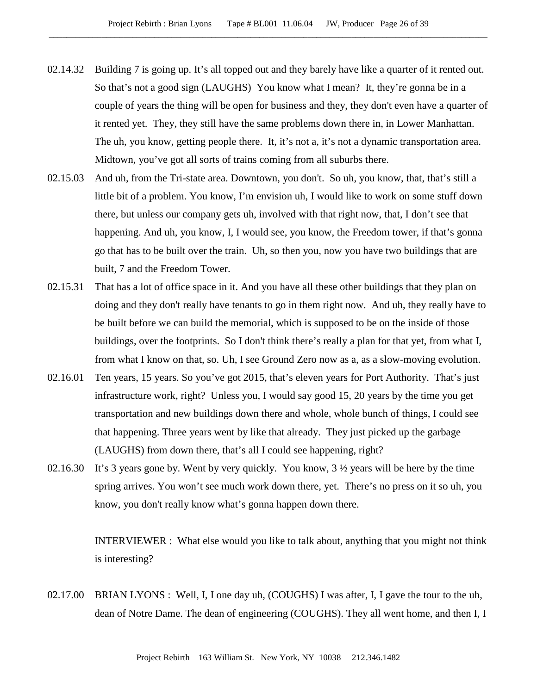- 02.14.32 Building 7 is going up. It's all topped out and they barely have like a quarter of it rented out. So that's not a good sign (LAUGHS) You know what I mean? It, they're gonna be in a couple of years the thing will be open for business and they, they don't even have a quarter of it rented yet. They, they still have the same problems down there in, in Lower Manhattan. The uh, you know, getting people there. It, it's not a, it's not a dynamic transportation area. Midtown, you've got all sorts of trains coming from all suburbs there.
- 02.15.03 And uh, from the Tri-state area. Downtown, you don't. So uh, you know, that, that's still a little bit of a problem. You know, I'm envision uh, I would like to work on some stuff down there, but unless our company gets uh, involved with that right now, that, I don't see that happening. And uh, you know, I, I would see, you know, the Freedom tower, if that's gonna go that has to be built over the train. Uh, so then you, now you have two buildings that are built, 7 and the Freedom Tower.
- 02.15.31 That has a lot of office space in it. And you have all these other buildings that they plan on doing and they don't really have tenants to go in them right now. And uh, they really have to be built before we can build the memorial, which is supposed to be on the inside of those buildings, over the footprints. So I don't think there's really a plan for that yet, from what I, from what I know on that, so. Uh, I see Ground Zero now as a, as a slow-moving evolution.
- 02.16.01 Ten years, 15 years. So you've got 2015, that's eleven years for Port Authority. That's just infrastructure work, right? Unless you, I would say good 15, 20 years by the time you get transportation and new buildings down there and whole, whole bunch of things, I could see that happening. Three years went by like that already. They just picked up the garbage (LAUGHS) from down there, that's all I could see happening, right?
- 02.16.30 It's 3 years gone by. Went by very quickly. You know, 3 ½ years will be here by the time spring arrives. You won't see much work down there, yet. There's no press on it so uh, you know, you don't really know what's gonna happen down there.

INTERVIEWER : What else would you like to talk about, anything that you might not think is interesting?

02.17.00 BRIAN LYONS : Well, I, I one day uh, (COUGHS) I was after, I, I gave the tour to the uh, dean of Notre Dame. The dean of engineering (COUGHS). They all went home, and then I, I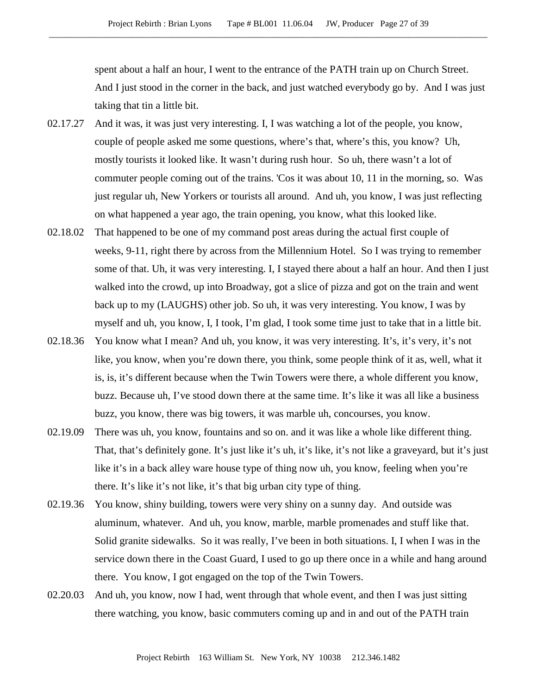spent about a half an hour, I went to the entrance of the PATH train up on Church Street. And I just stood in the corner in the back, and just watched everybody go by. And I was just taking that tin a little bit.

- 02.17.27 And it was, it was just very interesting. I, I was watching a lot of the people, you know, couple of people asked me some questions, where's that, where's this, you know? Uh, mostly tourists it looked like. It wasn't during rush hour. So uh, there wasn't a lot of commuter people coming out of the trains. 'Cos it was about 10, 11 in the morning, so. Was just regular uh, New Yorkers or tourists all around. And uh, you know, I was just reflecting on what happened a year ago, the train opening, you know, what this looked like.
- 02.18.02 That happened to be one of my command post areas during the actual first couple of weeks, 9-11, right there by across from the Millennium Hotel. So I was trying to remember some of that. Uh, it was very interesting. I, I stayed there about a half an hour. And then I just walked into the crowd, up into Broadway, got a slice of pizza and got on the train and went back up to my (LAUGHS) other job. So uh, it was very interesting. You know, I was by myself and uh, you know, I, I took, I'm glad, I took some time just to take that in a little bit.
- 02.18.36 You know what I mean? And uh, you know, it was very interesting. It's, it's very, it's not like, you know, when you're down there, you think, some people think of it as, well, what it is, is, it's different because when the Twin Towers were there, a whole different you know, buzz. Because uh, I've stood down there at the same time. It's like it was all like a business buzz, you know, there was big towers, it was marble uh, concourses, you know.
- 02.19.09 There was uh, you know, fountains and so on. and it was like a whole like different thing. That, that's definitely gone. It's just like it's uh, it's like, it's not like a graveyard, but it's just like it's in a back alley ware house type of thing now uh, you know, feeling when you're there. It's like it's not like, it's that big urban city type of thing.
- 02.19.36 You know, shiny building, towers were very shiny on a sunny day. And outside was aluminum, whatever. And uh, you know, marble, marble promenades and stuff like that. Solid granite sidewalks. So it was really, I've been in both situations. I, I when I was in the service down there in the Coast Guard, I used to go up there once in a while and hang around there. You know, I got engaged on the top of the Twin Towers.
- 02.20.03 And uh, you know, now I had, went through that whole event, and then I was just sitting there watching, you know, basic commuters coming up and in and out of the PATH train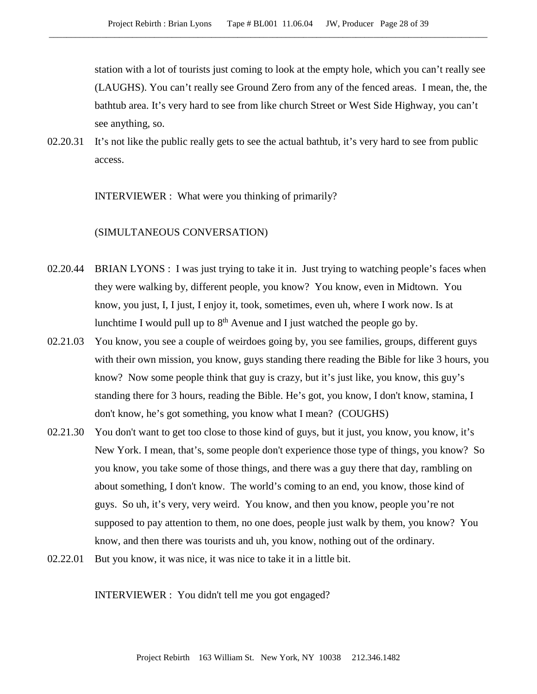station with a lot of tourists just coming to look at the empty hole, which you can't really see (LAUGHS). You can't really see Ground Zero from any of the fenced areas. I mean, the, the bathtub area. It's very hard to see from like church Street or West Side Highway, you can't see anything, so.

02.20.31 It's not like the public really gets to see the actual bathtub, it's very hard to see from public access.

INTERVIEWER : What were you thinking of primarily?

## (SIMULTANEOUS CONVERSATION)

- 02.20.44 BRIAN LYONS : I was just trying to take it in. Just trying to watching people's faces when they were walking by, different people, you know? You know, even in Midtown. You know, you just, I, I just, I enjoy it, took, sometimes, even uh, where I work now. Is at lunchtime I would pull up to  $8<sup>th</sup>$  Avenue and I just watched the people go by.
- 02.21.03 You know, you see a couple of weirdoes going by, you see families, groups, different guys with their own mission, you know, guys standing there reading the Bible for like 3 hours, you know? Now some people think that guy is crazy, but it's just like, you know, this guy's standing there for 3 hours, reading the Bible. He's got, you know, I don't know, stamina, I don't know, he's got something, you know what I mean? (COUGHS)
- 02.21.30 You don't want to get too close to those kind of guys, but it just, you know, you know, it's New York. I mean, that's, some people don't experience those type of things, you know? So you know, you take some of those things, and there was a guy there that day, rambling on about something, I don't know. The world's coming to an end, you know, those kind of guys. So uh, it's very, very weird. You know, and then you know, people you're not supposed to pay attention to them, no one does, people just walk by them, you know? You know, and then there was tourists and uh, you know, nothing out of the ordinary.
- 02.22.01 But you know, it was nice, it was nice to take it in a little bit.

INTERVIEWER : You didn't tell me you got engaged?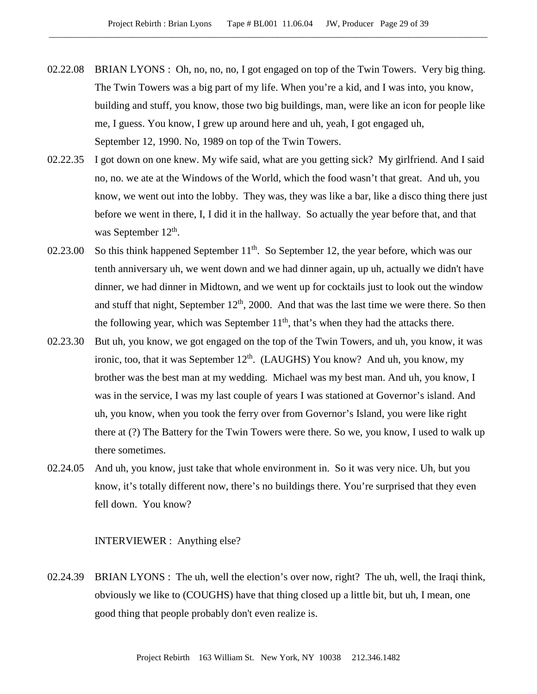- 02.22.08 BRIAN LYONS : Oh, no, no, no, I got engaged on top of the Twin Towers. Very big thing. The Twin Towers was a big part of my life. When you're a kid, and I was into, you know, building and stuff, you know, those two big buildings, man, were like an icon for people like me, I guess. You know, I grew up around here and uh, yeah, I got engaged uh, September 12, 1990. No, 1989 on top of the Twin Towers.
- 02.22.35 I got down on one knew. My wife said, what are you getting sick? My girlfriend. And I said no, no. we ate at the Windows of the World, which the food wasn't that great. And uh, you know, we went out into the lobby. They was, they was like a bar, like a disco thing there just before we went in there, I, I did it in the hallway. So actually the year before that, and that was September 12<sup>th</sup>.
- 02.23.00 So this think happened September  $11<sup>th</sup>$ . So September 12, the year before, which was our tenth anniversary uh, we went down and we had dinner again, up uh, actually we didn't have dinner, we had dinner in Midtown, and we went up for cocktails just to look out the window and stuff that night, September  $12<sup>th</sup>$ , 2000. And that was the last time we were there. So then the following year, which was September  $11<sup>th</sup>$ , that's when they had the attacks there.
- 02.23.30 But uh, you know, we got engaged on the top of the Twin Towers, and uh, you know, it was ironic, too, that it was September  $12<sup>th</sup>$ . (LAUGHS) You know? And uh, you know, my brother was the best man at my wedding. Michael was my best man. And uh, you know, I was in the service, I was my last couple of years I was stationed at Governor's island. And uh, you know, when you took the ferry over from Governor's Island, you were like right there at (?) The Battery for the Twin Towers were there. So we, you know, I used to walk up there sometimes.
- 02.24.05 And uh, you know, just take that whole environment in. So it was very nice. Uh, but you know, it's totally different now, there's no buildings there. You're surprised that they even fell down. You know?

INTERVIEWER : Anything else?

02.24.39 BRIAN LYONS : The uh, well the election's over now, right? The uh, well, the Iraqi think, obviously we like to (COUGHS) have that thing closed up a little bit, but uh, I mean, one good thing that people probably don't even realize is.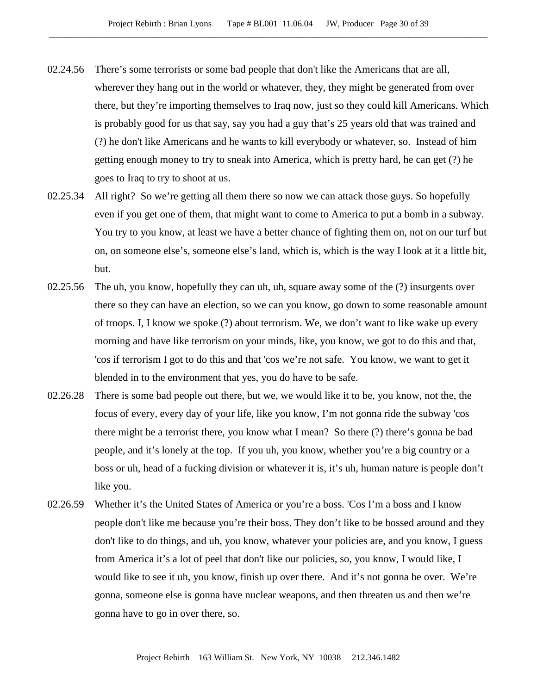- 02.24.56 There's some terrorists or some bad people that don't like the Americans that are all, wherever they hang out in the world or whatever, they, they might be generated from over there, but they're importing themselves to Iraq now, just so they could kill Americans. Which is probably good for us that say, say you had a guy that's 25 years old that was trained and (?) he don't like Americans and he wants to kill everybody or whatever, so. Instead of him getting enough money to try to sneak into America, which is pretty hard, he can get (?) he goes to Iraq to try to shoot at us.
- 02.25.34 All right? So we're getting all them there so now we can attack those guys. So hopefully even if you get one of them, that might want to come to America to put a bomb in a subway. You try to you know, at least we have a better chance of fighting them on, not on our turf but on, on someone else's, someone else's land, which is, which is the way I look at it a little bit, but.
- 02.25.56 The uh, you know, hopefully they can uh, uh, square away some of the (?) insurgents over there so they can have an election, so we can you know, go down to some reasonable amount of troops. I, I know we spoke (?) about terrorism. We, we don't want to like wake up every morning and have like terrorism on your minds, like, you know, we got to do this and that, 'cos if terrorism I got to do this and that 'cos we're not safe. You know, we want to get it blended in to the environment that yes, you do have to be safe.
- 02.26.28 There is some bad people out there, but we, we would like it to be, you know, not the, the focus of every, every day of your life, like you know, I'm not gonna ride the subway 'cos there might be a terrorist there, you know what I mean? So there (?) there's gonna be bad people, and it's lonely at the top. If you uh, you know, whether you're a big country or a boss or uh, head of a fucking division or whatever it is, it's uh, human nature is people don't like you.
- 02.26.59 Whether it's the United States of America or you're a boss. 'Cos I'm a boss and I know people don't like me because you're their boss. They don't like to be bossed around and they don't like to do things, and uh, you know, whatever your policies are, and you know, I guess from America it's a lot of peel that don't like our policies, so, you know, I would like, I would like to see it uh, you know, finish up over there. And it's not gonna be over. We're gonna, someone else is gonna have nuclear weapons, and then threaten us and then we're gonna have to go in over there, so.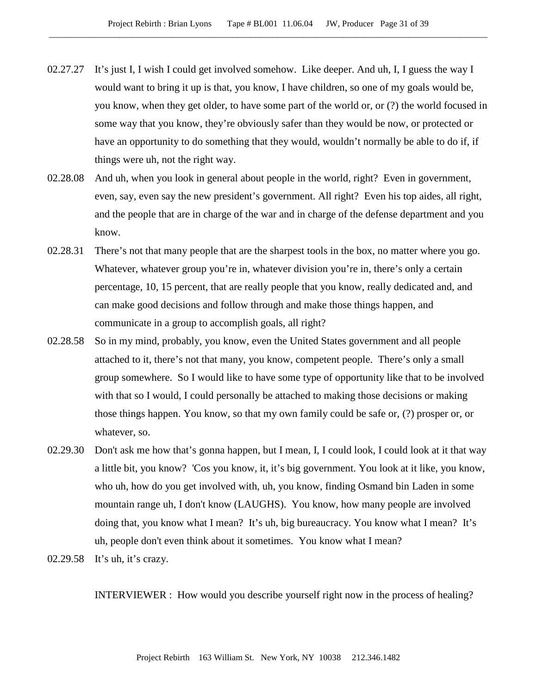- 02.27.27 It's just I, I wish I could get involved somehow. Like deeper. And uh, I, I guess the way I would want to bring it up is that, you know, I have children, so one of my goals would be, you know, when they get older, to have some part of the world or, or (?) the world focused in some way that you know, they're obviously safer than they would be now, or protected or have an opportunity to do something that they would, wouldn't normally be able to do if, if things were uh, not the right way.
- 02.28.08 And uh, when you look in general about people in the world, right? Even in government, even, say, even say the new president's government. All right? Even his top aides, all right, and the people that are in charge of the war and in charge of the defense department and you know.
- 02.28.31 There's not that many people that are the sharpest tools in the box, no matter where you go. Whatever, whatever group you're in, whatever division you're in, there's only a certain percentage, 10, 15 percent, that are really people that you know, really dedicated and, and can make good decisions and follow through and make those things happen, and communicate in a group to accomplish goals, all right?
- 02.28.58 So in my mind, probably, you know, even the United States government and all people attached to it, there's not that many, you know, competent people. There's only a small group somewhere. So I would like to have some type of opportunity like that to be involved with that so I would, I could personally be attached to making those decisions or making those things happen. You know, so that my own family could be safe or, (?) prosper or, or whatever, so.
- 02.29.30 Don't ask me how that's gonna happen, but I mean, I, I could look, I could look at it that way a little bit, you know? 'Cos you know, it, it's big government. You look at it like, you know, who uh, how do you get involved with, uh, you know, finding Osmand bin Laden in some mountain range uh, I don't know (LAUGHS). You know, how many people are involved doing that, you know what I mean? It's uh, big bureaucracy. You know what I mean? It's uh, people don't even think about it sometimes. You know what I mean?
- 02.29.58 It's uh, it's crazy.

INTERVIEWER : How would you describe yourself right now in the process of healing?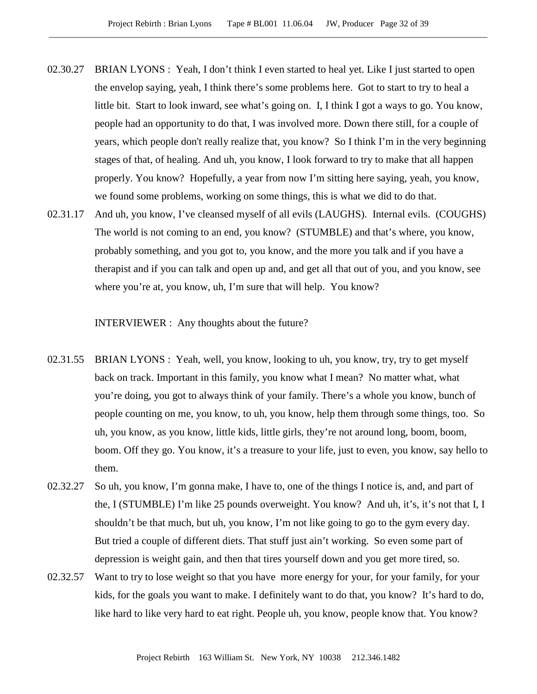- 02.30.27 BRIAN LYONS : Yeah, I don't think I even started to heal yet. Like I just started to open the envelop saying, yeah, I think there's some problems here. Got to start to try to heal a little bit. Start to look inward, see what's going on. I, I think I got a ways to go. You know, people had an opportunity to do that, I was involved more. Down there still, for a couple of years, which people don't really realize that, you know? So I think I'm in the very beginning stages of that, of healing. And uh, you know, I look forward to try to make that all happen properly. You know? Hopefully, a year from now I'm sitting here saying, yeah, you know, we found some problems, working on some things, this is what we did to do that.
- 02.31.17 And uh, you know, I've cleansed myself of all evils (LAUGHS). Internal evils. (COUGHS) The world is not coming to an end, you know? (STUMBLE) and that's where, you know, probably something, and you got to, you know, and the more you talk and if you have a therapist and if you can talk and open up and, and get all that out of you, and you know, see where you're at, you know, uh, I'm sure that will help. You know?

INTERVIEWER : Any thoughts about the future?

- 02.31.55 BRIAN LYONS : Yeah, well, you know, looking to uh, you know, try, try to get myself back on track. Important in this family, you know what I mean? No matter what, what you're doing, you got to always think of your family. There's a whole you know, bunch of people counting on me, you know, to uh, you know, help them through some things, too. So uh, you know, as you know, little kids, little girls, they're not around long, boom, boom, boom. Off they go. You know, it's a treasure to your life, just to even, you know, say hello to them.
- 02.32.27 So uh, you know, I'm gonna make, I have to, one of the things I notice is, and, and part of the, I (STUMBLE) I'm like 25 pounds overweight. You know? And uh, it's, it's not that I, I shouldn't be that much, but uh, you know, I'm not like going to go to the gym every day. But tried a couple of different diets. That stuff just ain't working. So even some part of depression is weight gain, and then that tires yourself down and you get more tired, so.
- 02.32.57 Want to try to lose weight so that you have more energy for your, for your family, for your kids, for the goals you want to make. I definitely want to do that, you know? It's hard to do, like hard to like very hard to eat right. People uh, you know, people know that. You know?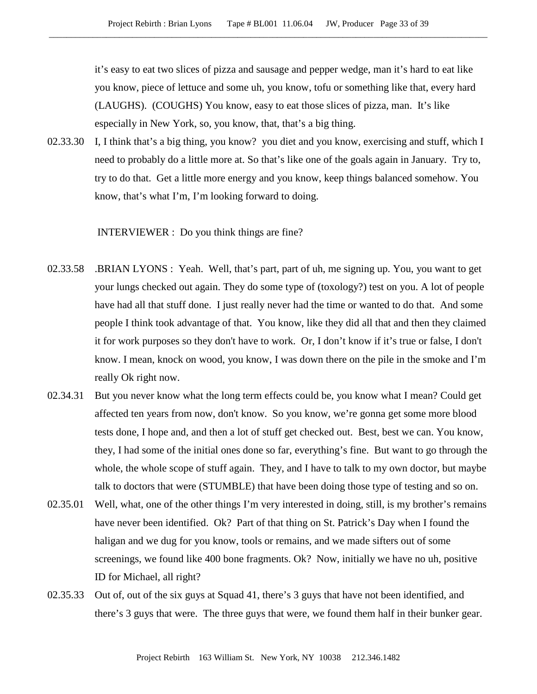it's easy to eat two slices of pizza and sausage and pepper wedge, man it's hard to eat like you know, piece of lettuce and some uh, you know, tofu or something like that, every hard (LAUGHS). (COUGHS) You know, easy to eat those slices of pizza, man. It's like especially in New York, so, you know, that, that's a big thing.

02.33.30 I, I think that's a big thing, you know? you diet and you know, exercising and stuff, which I need to probably do a little more at. So that's like one of the goals again in January. Try to, try to do that. Get a little more energy and you know, keep things balanced somehow. You know, that's what I'm, I'm looking forward to doing.

INTERVIEWER : Do you think things are fine?

- 02.33.58 .BRIAN LYONS : Yeah. Well, that's part, part of uh, me signing up. You, you want to get your lungs checked out again. They do some type of (toxology?) test on you. A lot of people have had all that stuff done. I just really never had the time or wanted to do that. And some people I think took advantage of that. You know, like they did all that and then they claimed it for work purposes so they don't have to work. Or, I don't know if it's true or false, I don't know. I mean, knock on wood, you know, I was down there on the pile in the smoke and I'm really Ok right now.
- 02.34.31 But you never know what the long term effects could be, you know what I mean? Could get affected ten years from now, don't know. So you know, we're gonna get some more blood tests done, I hope and, and then a lot of stuff get checked out. Best, best we can. You know, they, I had some of the initial ones done so far, everything's fine. But want to go through the whole, the whole scope of stuff again. They, and I have to talk to my own doctor, but maybe talk to doctors that were (STUMBLE) that have been doing those type of testing and so on.
- 02.35.01 Well, what, one of the other things I'm very interested in doing, still, is my brother's remains have never been identified. Ok? Part of that thing on St. Patrick's Day when I found the haligan and we dug for you know, tools or remains, and we made sifters out of some screenings, we found like 400 bone fragments. Ok? Now, initially we have no uh, positive ID for Michael, all right?
- 02.35.33 Out of, out of the six guys at Squad 41, there's 3 guys that have not been identified, and there's 3 guys that were. The three guys that were, we found them half in their bunker gear.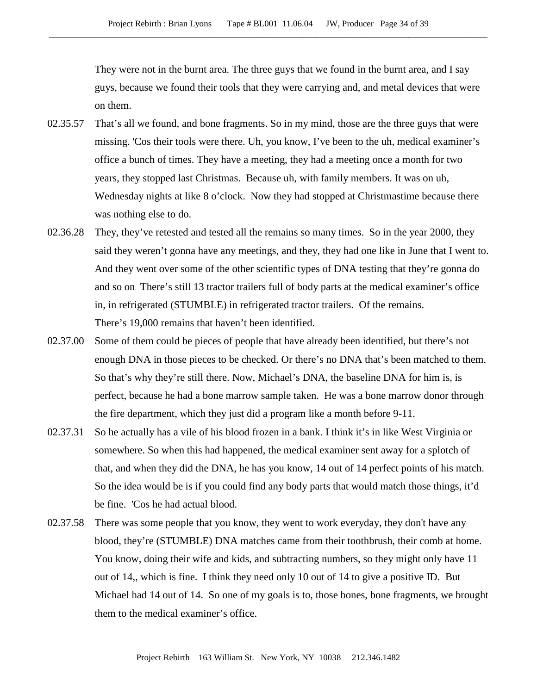They were not in the burnt area. The three guys that we found in the burnt area, and I say guys, because we found their tools that they were carrying and, and metal devices that were on them.

- 02.35.57 That's all we found, and bone fragments. So in my mind, those are the three guys that were missing. 'Cos their tools were there. Uh, you know, I've been to the uh, medical examiner's office a bunch of times. They have a meeting, they had a meeting once a month for two years, they stopped last Christmas. Because uh, with family members. It was on uh, Wednesday nights at like 8 o'clock. Now they had stopped at Christmastime because there was nothing else to do.
- 02.36.28 They, they've retested and tested all the remains so many times. So in the year 2000, they said they weren't gonna have any meetings, and they, they had one like in June that I went to. And they went over some of the other scientific types of DNA testing that they're gonna do and so on There's still 13 tractor trailers full of body parts at the medical examiner's office in, in refrigerated (STUMBLE) in refrigerated tractor trailers. Of the remains. There's 19,000 remains that haven't been identified.
- 02.37.00 Some of them could be pieces of people that have already been identified, but there's not enough DNA in those pieces to be checked. Or there's no DNA that's been matched to them. So that's why they're still there. Now, Michael's DNA, the baseline DNA for him is, is perfect, because he had a bone marrow sample taken. He was a bone marrow donor through the fire department, which they just did a program like a month before 9-11.
- 02.37.31 So he actually has a vile of his blood frozen in a bank. I think it's in like West Virginia or somewhere. So when this had happened, the medical examiner sent away for a splotch of that, and when they did the DNA, he has you know, 14 out of 14 perfect points of his match. So the idea would be is if you could find any body parts that would match those things, it'd be fine. 'Cos he had actual blood.
- 02.37.58 There was some people that you know, they went to work everyday, they don't have any blood, they're (STUMBLE) DNA matches came from their toothbrush, their comb at home. You know, doing their wife and kids, and subtracting numbers, so they might only have 11 out of 14,, which is fine. I think they need only 10 out of 14 to give a positive ID. But Michael had 14 out of 14. So one of my goals is to, those bones, bone fragments, we brought them to the medical examiner's office.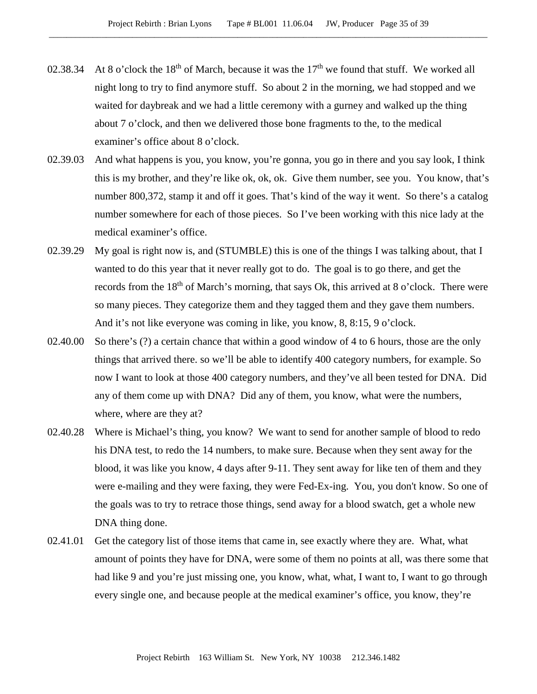- 02.38.34 At 8 o'clock the  $18<sup>th</sup>$  of March, because it was the  $17<sup>th</sup>$  we found that stuff. We worked all night long to try to find anymore stuff. So about 2 in the morning, we had stopped and we waited for daybreak and we had a little ceremony with a gurney and walked up the thing about 7 o'clock, and then we delivered those bone fragments to the, to the medical examiner's office about 8 o'clock.
- 02.39.03 And what happens is you, you know, you're gonna, you go in there and you say look, I think this is my brother, and they're like ok, ok, ok. Give them number, see you. You know, that's number 800,372, stamp it and off it goes. That's kind of the way it went. So there's a catalog number somewhere for each of those pieces. So I've been working with this nice lady at the medical examiner's office.
- 02.39.29 My goal is right now is, and (STUMBLE) this is one of the things I was talking about, that I wanted to do this year that it never really got to do. The goal is to go there, and get the records from the 18<sup>th</sup> of March's morning, that says Ok, this arrived at 8 o'clock. There were so many pieces. They categorize them and they tagged them and they gave them numbers. And it's not like everyone was coming in like, you know, 8, 8:15, 9 o'clock.
- 02.40.00 So there's (?) a certain chance that within a good window of 4 to 6 hours, those are the only things that arrived there. so we'll be able to identify 400 category numbers, for example. So now I want to look at those 400 category numbers, and they've all been tested for DNA. Did any of them come up with DNA? Did any of them, you know, what were the numbers, where, where are they at?
- 02.40.28 Where is Michael's thing, you know? We want to send for another sample of blood to redo his DNA test, to redo the 14 numbers, to make sure. Because when they sent away for the blood, it was like you know, 4 days after 9-11. They sent away for like ten of them and they were e-mailing and they were faxing, they were Fed-Ex-ing. You, you don't know. So one of the goals was to try to retrace those things, send away for a blood swatch, get a whole new DNA thing done.
- 02.41.01 Get the category list of those items that came in, see exactly where they are. What, what amount of points they have for DNA, were some of them no points at all, was there some that had like 9 and you're just missing one, you know, what, what, I want to, I want to go through every single one, and because people at the medical examiner's office, you know, they're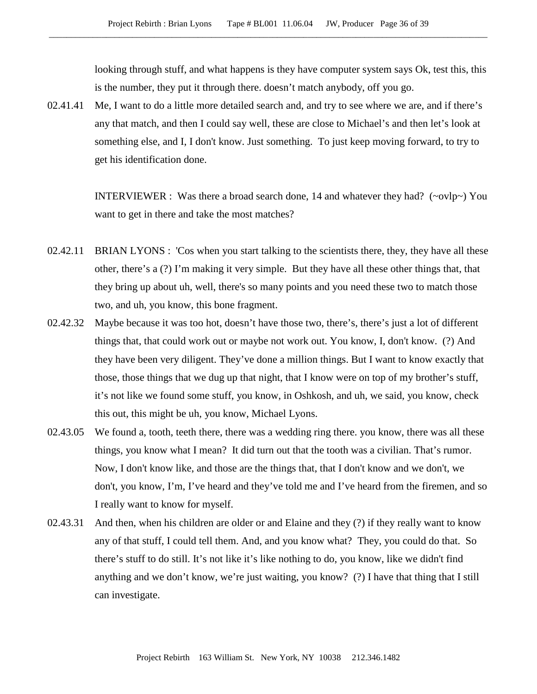looking through stuff, and what happens is they have computer system says Ok, test this, this is the number, they put it through there. doesn't match anybody, off you go.

02.41.41 Me, I want to do a little more detailed search and, and try to see where we are, and if there's any that match, and then I could say well, these are close to Michael's and then let's look at something else, and I, I don't know. Just something. To just keep moving forward, to try to get his identification done.

> INTERVIEWER : Was there a broad search done, 14 and whatever they had? ( $\sim$ ovlp $\sim$ ) You want to get in there and take the most matches?

- 02.42.11 BRIAN LYONS : 'Cos when you start talking to the scientists there, they, they have all these other, there's a (?) I'm making it very simple. But they have all these other things that, that they bring up about uh, well, there's so many points and you need these two to match those two, and uh, you know, this bone fragment.
- 02.42.32 Maybe because it was too hot, doesn't have those two, there's, there's just a lot of different things that, that could work out or maybe not work out. You know, I, don't know. (?) And they have been very diligent. They've done a million things. But I want to know exactly that those, those things that we dug up that night, that I know were on top of my brother's stuff, it's not like we found some stuff, you know, in Oshkosh, and uh, we said, you know, check this out, this might be uh, you know, Michael Lyons.
- 02.43.05 We found a, tooth, teeth there, there was a wedding ring there. you know, there was all these things, you know what I mean? It did turn out that the tooth was a civilian. That's rumor. Now, I don't know like, and those are the things that, that I don't know and we don't, we don't, you know, I'm, I've heard and they've told me and I've heard from the firemen, and so I really want to know for myself.
- 02.43.31 And then, when his children are older or and Elaine and they (?) if they really want to know any of that stuff, I could tell them. And, and you know what? They, you could do that. So there's stuff to do still. It's not like it's like nothing to do, you know, like we didn't find anything and we don't know, we're just waiting, you know? (?) I have that thing that I still can investigate.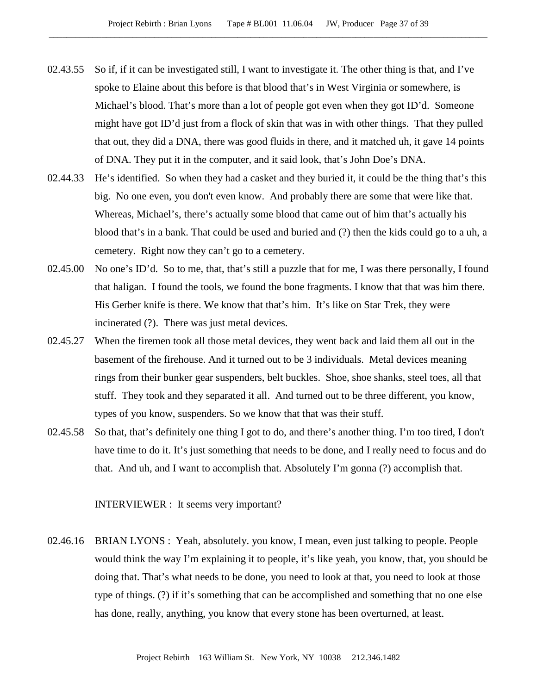- 02.43.55 So if, if it can be investigated still, I want to investigate it. The other thing is that, and I've spoke to Elaine about this before is that blood that's in West Virginia or somewhere, is Michael's blood. That's more than a lot of people got even when they got ID'd. Someone might have got ID'd just from a flock of skin that was in with other things. That they pulled that out, they did a DNA, there was good fluids in there, and it matched uh, it gave 14 points of DNA. They put it in the computer, and it said look, that's John Doe's DNA.
- 02.44.33 He's identified. So when they had a casket and they buried it, it could be the thing that's this big. No one even, you don't even know. And probably there are some that were like that. Whereas, Michael's, there's actually some blood that came out of him that's actually his blood that's in a bank. That could be used and buried and (?) then the kids could go to a uh, a cemetery. Right now they can't go to a cemetery.
- 02.45.00 No one's ID'd. So to me, that, that's still a puzzle that for me, I was there personally, I found that haligan. I found the tools, we found the bone fragments. I know that that was him there. His Gerber knife is there. We know that that's him. It's like on Star Trek, they were incinerated (?). There was just metal devices.
- 02.45.27 When the firemen took all those metal devices, they went back and laid them all out in the basement of the firehouse. And it turned out to be 3 individuals. Metal devices meaning rings from their bunker gear suspenders, belt buckles. Shoe, shoe shanks, steel toes, all that stuff. They took and they separated it all. And turned out to be three different, you know, types of you know, suspenders. So we know that that was their stuff.
- 02.45.58 So that, that's definitely one thing I got to do, and there's another thing. I'm too tired, I don't have time to do it. It's just something that needs to be done, and I really need to focus and do that. And uh, and I want to accomplish that. Absolutely I'm gonna (?) accomplish that.

INTERVIEWER : It seems very important?

02.46.16 BRIAN LYONS : Yeah, absolutely. you know, I mean, even just talking to people. People would think the way I'm explaining it to people, it's like yeah, you know, that, you should be doing that. That's what needs to be done, you need to look at that, you need to look at those type of things. (?) if it's something that can be accomplished and something that no one else has done, really, anything, you know that every stone has been overturned, at least.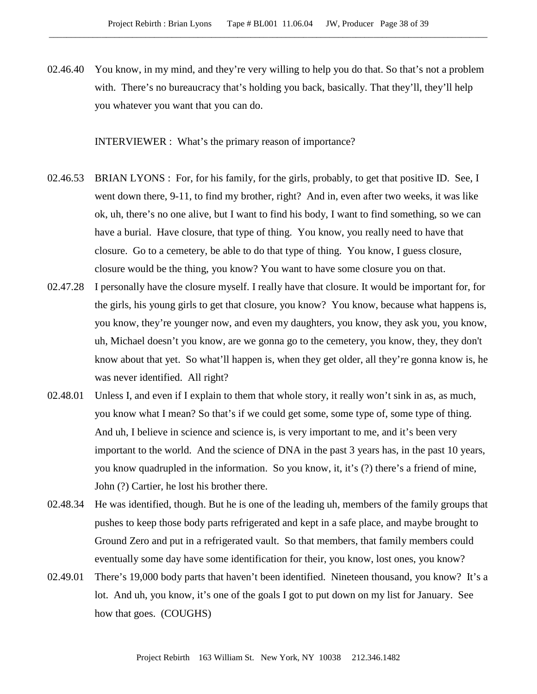02.46.40 You know, in my mind, and they're very willing to help you do that. So that's not a problem with. There's no bureaucracy that's holding you back, basically. That they'll, they'll help you whatever you want that you can do.

INTERVIEWER : What's the primary reason of importance?

- 02.46.53 BRIAN LYONS : For, for his family, for the girls, probably, to get that positive ID. See, I went down there, 9-11, to find my brother, right? And in, even after two weeks, it was like ok, uh, there's no one alive, but I want to find his body, I want to find something, so we can have a burial. Have closure, that type of thing. You know, you really need to have that closure. Go to a cemetery, be able to do that type of thing. You know, I guess closure, closure would be the thing, you know? You want to have some closure you on that.
- 02.47.28 I personally have the closure myself. I really have that closure. It would be important for, for the girls, his young girls to get that closure, you know? You know, because what happens is, you know, they're younger now, and even my daughters, you know, they ask you, you know, uh, Michael doesn't you know, are we gonna go to the cemetery, you know, they, they don't know about that yet. So what'll happen is, when they get older, all they're gonna know is, he was never identified. All right?
- 02.48.01 Unless I, and even if I explain to them that whole story, it really won't sink in as, as much, you know what I mean? So that's if we could get some, some type of, some type of thing. And uh, I believe in science and science is, is very important to me, and it's been very important to the world. And the science of DNA in the past 3 years has, in the past 10 years, you know quadrupled in the information. So you know, it, it's (?) there's a friend of mine, John (?) Cartier, he lost his brother there.
- 02.48.34 He was identified, though. But he is one of the leading uh, members of the family groups that pushes to keep those body parts refrigerated and kept in a safe place, and maybe brought to Ground Zero and put in a refrigerated vault. So that members, that family members could eventually some day have some identification for their, you know, lost ones, you know?
- 02.49.01 There's 19,000 body parts that haven't been identified. Nineteen thousand, you know? It's a lot. And uh, you know, it's one of the goals I got to put down on my list for January. See how that goes. (COUGHS)